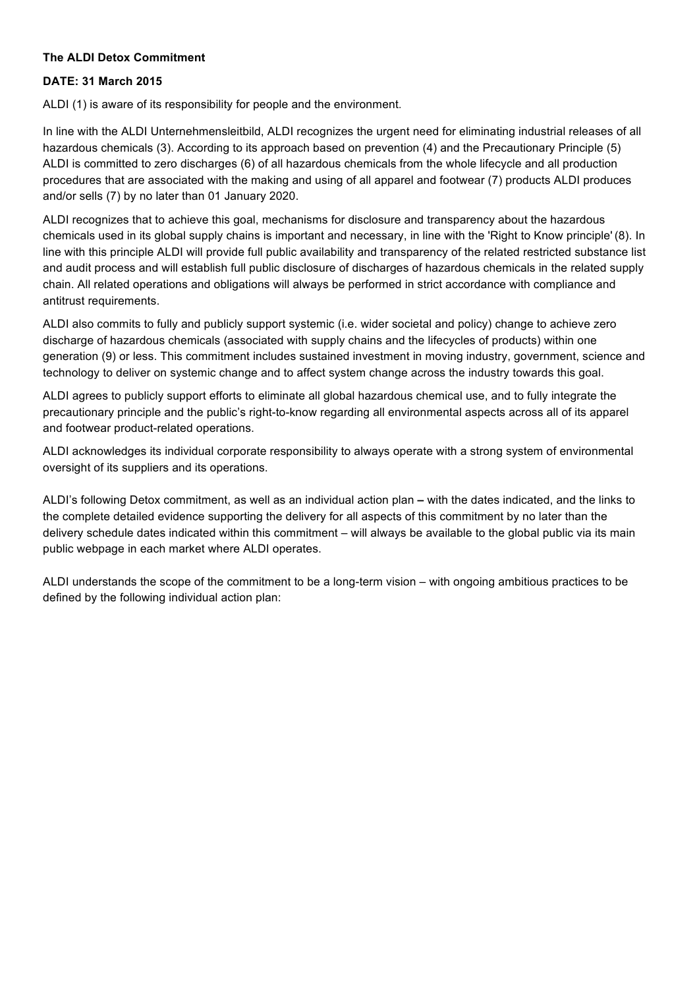## **The ALDI Detox Commitment**

### **DATE: 31 March 2015**

ALDI (1) is aware of its responsibility for people and the environment.

In line with the ALDI Unternehmensleitbild, ALDI recognizes the urgent need for eliminating industrial releases of all hazardous chemicals (3). According to its approach based on prevention (4) and the Precautionary Principle (5) ALDI is committed to zero discharges (6) of all hazardous chemicals from the whole lifecycle and all production procedures that are associated with the making and using of all apparel and footwear (7) products ALDI produces and/or sells (7) by no later than 01 January 2020.

ALDI recognizes that to achieve this goal, mechanisms for disclosure and transparency about the hazardous chemicals used in its global supply chains is important and necessary, in line with the 'Right to Know principle' (8). In line with this principle ALDI will provide full public availability and transparency of the related restricted substance list and audit process and will establish full public disclosure of discharges of hazardous chemicals in the related supply chain. All related operations and obligations will always be performed in strict accordance with compliance and antitrust requirements.

ALDI also commits to fully and publicly support systemic (i.e. wider societal and policy) change to achieve zero discharge of hazardous chemicals (associated with supply chains and the lifecycles of products) within one generation (9) or less. This commitment includes sustained investment in moving industry, government, science and technology to deliver on systemic change and to affect system change across the industry towards this goal.

ALDI agrees to publicly support efforts to eliminate all global hazardous chemical use, and to fully integrate the precautionary principle and the public's right-to-know regarding all environmental aspects across all of its apparel and footwear product-related operations.

ALDI acknowledges its individual corporate responsibility to always operate with a strong system of environmental oversight of its suppliers and its operations.

ALDI's following Detox commitment, as well as an individual action plan **–** with the dates indicated, and the links to the complete detailed evidence supporting the delivery for all aspects of this commitment by no later than the delivery schedule dates indicated within this commitment – will always be available to the global public via its main public webpage in each market where ALDI operates.

ALDI understands the scope of the commitment to be a long-term vision – with ongoing ambitious practices to be defined by the following individual action plan: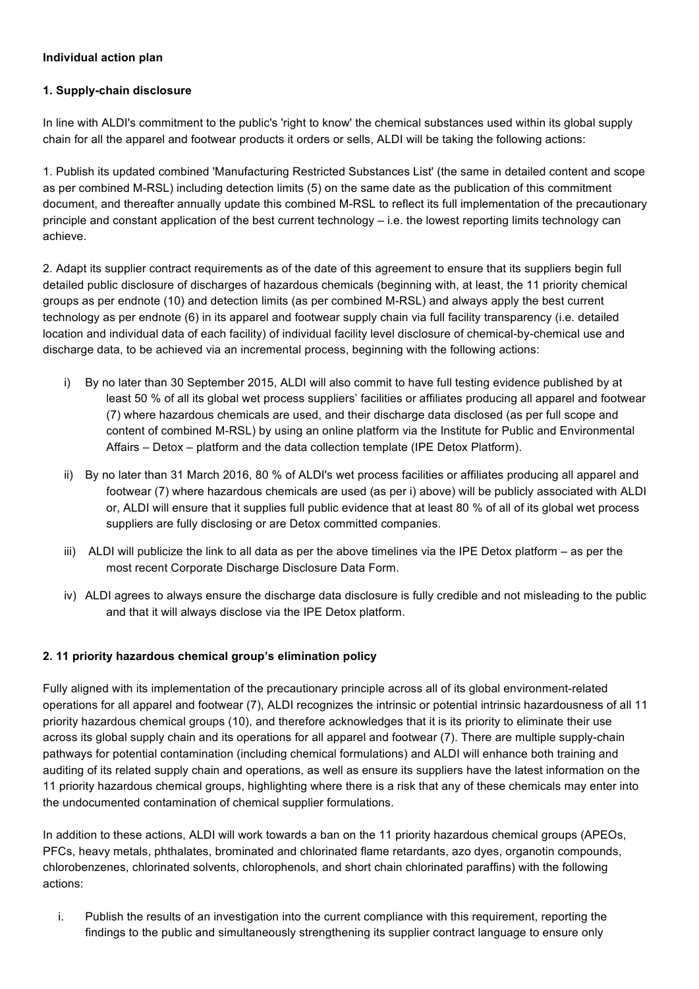## **Individual action plan**

## **1. Supply-chain disclosure**

In line with ALDI's commitment to the public's 'right to know' the chemical substances used within its global supply chain for all the apparel and footwear products it orders or sells, ALDI will be taking the following actions:

1. Publish its updated combined 'Manufacturing Restricted Substances List' (the same in detailed content and scope as per combined M-RSL) including detection limits (5) on the same date as the publication of this commitment document, and thereafter annually update this combined M-RSL to reflect its full implementation of the precautionary principle and constant application of the best current technology – i.e. the lowest reporting limits technology can achieve.

2. Adapt its supplier contract requirements as of the date of this agreement to ensure that its suppliers begin full detailed public disclosure of discharges of hazardous chemicals (beginning with, at least, the 11 priority chemical groups as per endnote (10) and detection limits (as per combined M-RSL) and always apply the best current technology as per endnote (6) in its apparel and footwear supply chain via full facility transparency (i.e. detailed location and individual data of each facility) of individual facility level disclosure of chemical-by-chemical use and discharge data, to be achieved via an incremental process, beginning with the following actions:

- i) By no later than 30 September 2015, ALDI will also commit to have full testing evidence published by at least 50 % of all its global wet process suppliers' facilities or affiliates producing all apparel and footwear (7) where hazardous chemicals are used, and their discharge data disclosed (as per full scope and content of combined M-RSL) by using an online platform via the Institute for Public and Environmental Affairs – Detox – platform and the data collection template (IPE Detox Platform).
- ii) By no later than 31 March 2016, 80 % of ALDI's wet process facilities or affiliates producing all apparel and footwear (7) where hazardous chemicals are used (as per i) above) will be publicly associated with ALDI or, ALDI will ensure that it supplies full public evidence that at least 80 % of all of its global wet process suppliers are fully disclosing or are Detox committed companies.
- iii) ALDI will publicize the link to all data as per the above timelines via the IPE Detox platform as per the most recent Corporate Discharge Disclosure Data Form.
- iv) ALDI agrees to always ensure the discharge data disclosure is fully credible and not misleading to the public and that it will always disclose via the IPE Detox platform.

# **2. 11 priority hazardous chemical group's elimination policy**

Fully aligned with its implementation of the precautionary principle across all of its global environment-related operations for all apparel and footwear (7), ALDI recognizes the intrinsic or potential intrinsic hazardousness of all 11 priority hazardous chemical groups (10), and therefore acknowledges that it is its priority to eliminate their use across its global supply chain and its operations for all apparel and footwear (7). There are multiple supply-chain pathways for potential contamination (including chemical formulations) and ALDI will enhance both training and auditing of its related supply chain and operations, as well as ensure its suppliers have the latest information on the 11 priority hazardous chemical groups, highlighting where there is a risk that any of these chemicals may enter into the undocumented contamination of chemical supplier formulations.

In addition to these actions, ALDI will work towards a ban on the 11 priority hazardous chemical groups (APEOs, PFCs, heavy metals, phthalates, brominated and chlorinated flame retardants, azo dyes, organotin compounds, chlorobenzenes, chlorinated solvents, chlorophenols, and short chain chlorinated paraffins) with the following actions:

i. Publish the results of an investigation into the current compliance with this requirement, reporting the findings to the public and simultaneously strengthening its supplier contract language to ensure only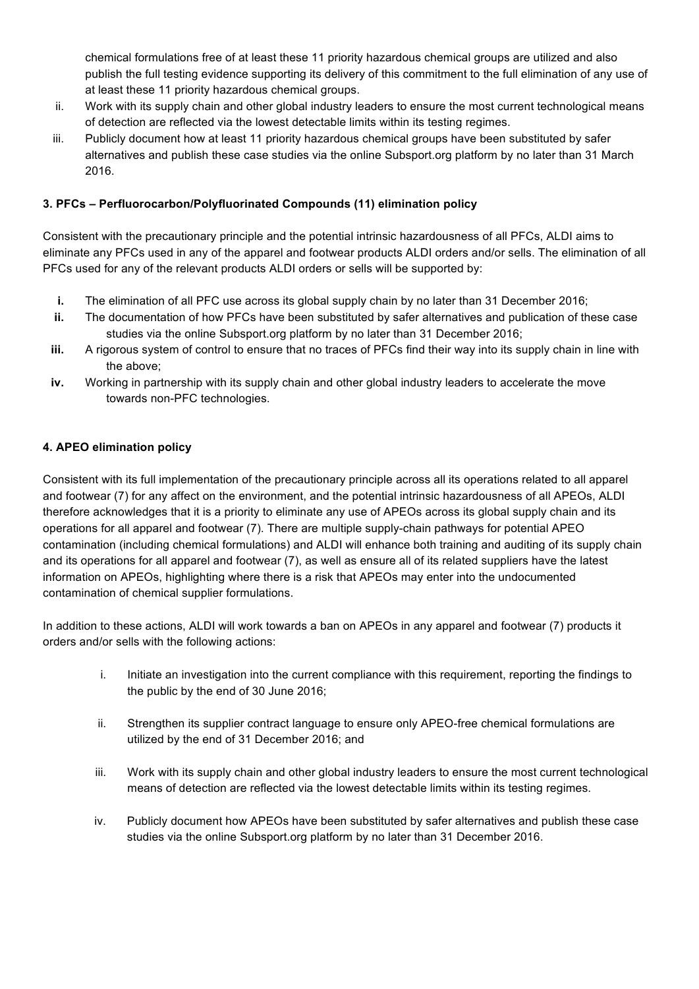chemical formulations free of at least these 11 priority hazardous chemical groups are utilized and also publish the full testing evidence supporting its delivery of this commitment to the full elimination of any use of at least these 11 priority hazardous chemical groups.

- ii. Work with its supply chain and other global industry leaders to ensure the most current technological means of detection are reflected via the lowest detectable limits within its testing regimes.
- iii. Publicly document how at least 11 priority hazardous chemical groups have been substituted by safer alternatives and publish these case studies via the online Subsport.org platform by no later than 31 March 2016.

# **3. PFCs – Perfluorocarbon/Polyfluorinated Compounds (11) elimination policy**

Consistent with the precautionary principle and the potential intrinsic hazardousness of all PFCs, ALDI aims to eliminate any PFCs used in any of the apparel and footwear products ALDI orders and/or sells. The elimination of all PFCs used for any of the relevant products ALDI orders or sells will be supported by:

- **i.** The elimination of all PFC use across its global supply chain by no later than 31 December 2016;
- **ii.** The documentation of how PFCs have been substituted by safer alternatives and publication of these case studies via the online Subsport.org platform by no later than 31 December 2016;
- **iii.** A rigorous system of control to ensure that no traces of PFCs find their way into its supply chain in line with the above;
- **iv.** Working in partnership with its supply chain and other global industry leaders to accelerate the move towards non-PFC technologies.

## **4. APEO elimination policy**

Consistent with its full implementation of the precautionary principle across all its operations related to all apparel and footwear (7) for any affect on the environment, and the potential intrinsic hazardousness of all APEOs, ALDI therefore acknowledges that it is a priority to eliminate any use of APEOs across its global supply chain and its operations for all apparel and footwear (7). There are multiple supply-chain pathways for potential APEO contamination (including chemical formulations) and ALDI will enhance both training and auditing of its supply chain and its operations for all apparel and footwear (7), as well as ensure all of its related suppliers have the latest information on APEOs, highlighting where there is a risk that APEOs may enter into the undocumented contamination of chemical supplier formulations.

In addition to these actions, ALDI will work towards a ban on APEOs in any apparel and footwear (7) products it orders and/or sells with the following actions:

- i. Initiate an investigation into the current compliance with this requirement, reporting the findings to the public by the end of 30 June 2016;
- ii. Strengthen its supplier contract language to ensure only APEO-free chemical formulations are utilized by the end of 31 December 2016; and
- iii. Work with its supply chain and other global industry leaders to ensure the most current technological means of detection are reflected via the lowest detectable limits within its testing regimes.
- iv. Publicly document how APEOs have been substituted by safer alternatives and publish these case studies via the online Subsport.org platform by no later than 31 December 2016.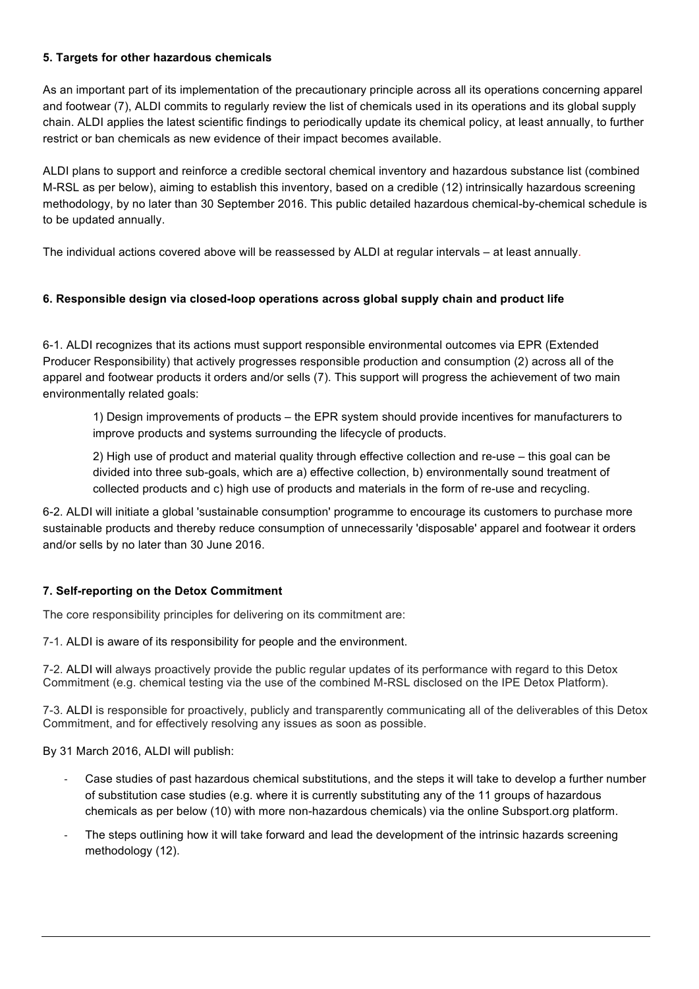## **5. Targets for other hazardous chemicals**

As an important part of its implementation of the precautionary principle across all its operations concerning apparel and footwear (7), ALDI commits to regularly review the list of chemicals used in its operations and its global supply chain. ALDI applies the latest scientific findings to periodically update its chemical policy, at least annually, to further restrict or ban chemicals as new evidence of their impact becomes available.

ALDI plans to support and reinforce a credible sectoral chemical inventory and hazardous substance list (combined M-RSL as per below), aiming to establish this inventory, based on a credible (12) intrinsically hazardous screening methodology, by no later than 30 September 2016. This public detailed hazardous chemical-by-chemical schedule is to be updated annually.

The individual actions covered above will be reassessed by ALDI at regular intervals – at least annually.

# **6. Responsible design via closed-loop operations across global supply chain and product life**

6-1. ALDI recognizes that its actions must support responsible environmental outcomes via EPR (Extended Producer Responsibility) that actively progresses responsible production and consumption (2) across all of the apparel and footwear products it orders and/or sells (7). This support will progress the achievement of two main environmentally related goals:

1) Design improvements of products – the EPR system should provide incentives for manufacturers to improve products and systems surrounding the lifecycle of products.

2) High use of product and material quality through effective collection and re-use – this goal can be divided into three sub-goals, which are a) effective collection, b) environmentally sound treatment of collected products and c) high use of products and materials in the form of re-use and recycling.

6-2. ALDI will initiate a global 'sustainable consumption' programme to encourage its customers to purchase more sustainable products and thereby reduce consumption of unnecessarily 'disposable' apparel and footwear it orders and/or sells by no later than 30 June 2016.

#### **7. Self-reporting on the Detox Commitment**

The core responsibility principles for delivering on its commitment are:

7-1. ALDI is aware of its responsibility for people and the environment.

7-2. ALDI will always proactively provide the public regular updates of its performance with regard to this Detox Commitment (e.g. chemical testing via the use of the combined M-RSL disclosed on the IPE Detox Platform).

7-3. ALDI is responsible for proactively, publicly and transparently communicating all of the deliverables of this Detox Commitment, and for effectively resolving any issues as soon as possible.

By 31 March 2016, ALDI will publish:

- Case studies of past hazardous chemical substitutions, and the steps it will take to develop a further number of substitution case studies (e.g. where it is currently substituting any of the 11 groups of hazardous chemicals as per below (10) with more non-hazardous chemicals) via the online Subsport.org platform.
- The steps outlining how it will take forward and lead the development of the intrinsic hazards screening methodology (12).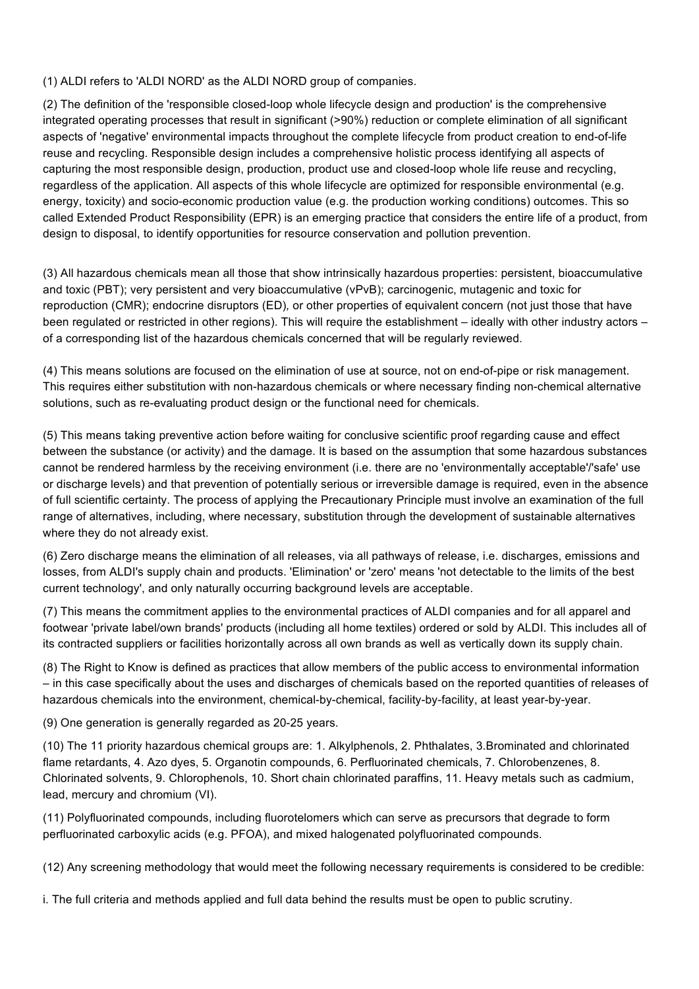(1) ALDI refers to 'ALDI NORD' as the ALDI NORD group of companies.

(2) The definition of the 'responsible closed-loop whole lifecycle design and production' is the comprehensive integrated operating processes that result in significant (>90%) reduction or complete elimination of all significant aspects of 'negative' environmental impacts throughout the complete lifecycle from product creation to end-of-life reuse and recycling. Responsible design includes a comprehensive holistic process identifying all aspects of capturing the most responsible design, production, product use and closed-loop whole life reuse and recycling, regardless of the application. All aspects of this whole lifecycle are optimized for responsible environmental (e.g. energy, toxicity) and socio-economic production value (e.g. the production working conditions) outcomes. This so called Extended Product Responsibility (EPR) is an emerging practice that considers the entire life of a product, from design to disposal, to identify opportunities for resource conservation and pollution prevention.

(3) All hazardous chemicals mean all those that show intrinsically hazardous properties: persistent, bioaccumulative and toxic (PBT); very persistent and very bioaccumulative (vPvB); carcinogenic, mutagenic and toxic for reproduction (CMR); endocrine disruptors (ED)*,* or other properties of equivalent concern (not just those that have been regulated or restricted in other regions). This will require the establishment – ideally with other industry actors – of a corresponding list of the hazardous chemicals concerned that will be regularly reviewed.

(4) This means solutions are focused on the elimination of use at source, not on end-of-pipe or risk management. This requires either substitution with non-hazardous chemicals or where necessary finding non-chemical alternative solutions, such as re-evaluating product design or the functional need for chemicals.

(5) This means taking preventive action before waiting for conclusive scientific proof regarding cause and effect between the substance (or activity) and the damage. It is based on the assumption that some hazardous substances cannot be rendered harmless by the receiving environment (i.e. there are no 'environmentally acceptable'/'safe' use or discharge levels) and that prevention of potentially serious or irreversible damage is required, even in the absence of full scientific certainty. The process of applying the Precautionary Principle must involve an examination of the full range of alternatives, including, where necessary, substitution through the development of sustainable alternatives where they do not already exist.

(6) Zero discharge means the elimination of all releases, via all pathways of release, i.e. discharges, emissions and losses, from ALDI's supply chain and products. 'Elimination' or 'zero' means 'not detectable to the limits of the best current technology', and only naturally occurring background levels are acceptable.

(7) This means the commitment applies to the environmental practices of ALDI companies and for all apparel and footwear 'private label/own brands' products (including all home textiles) ordered or sold by ALDI. This includes all of its contracted suppliers or facilities horizontally across all own brands as well as vertically down its supply chain.

(8) The Right to Know is defined as practices that allow members of the public access to environmental information – in this case specifically about the uses and discharges of chemicals based on the reported quantities of releases of hazardous chemicals into the environment, chemical-by-chemical, facility-by-facility, at least year-by-year.

(9) One generation is generally regarded as 20-25 years.

(10) The 11 priority hazardous chemical groups are: 1. Alkylphenols, 2. Phthalates, 3.Brominated and chlorinated flame retardants, 4. Azo dyes, 5. Organotin compounds, 6. Perfluorinated chemicals, 7. Chlorobenzenes, 8. Chlorinated solvents, 9. Chlorophenols, 10. Short chain chlorinated paraffins, 11. Heavy metals such as cadmium, lead, mercury and chromium (VI).

(11) Polyfluorinated compounds, including fluorotelomers which can serve as precursors that degrade to form perfluorinated carboxylic acids (e.g. PFOA), and mixed halogenated polyfluorinated compounds.

(12) Any screening methodology that would meet the following necessary requirements is considered to be credible:

i. The full criteria and methods applied and full data behind the results must be open to public scrutiny.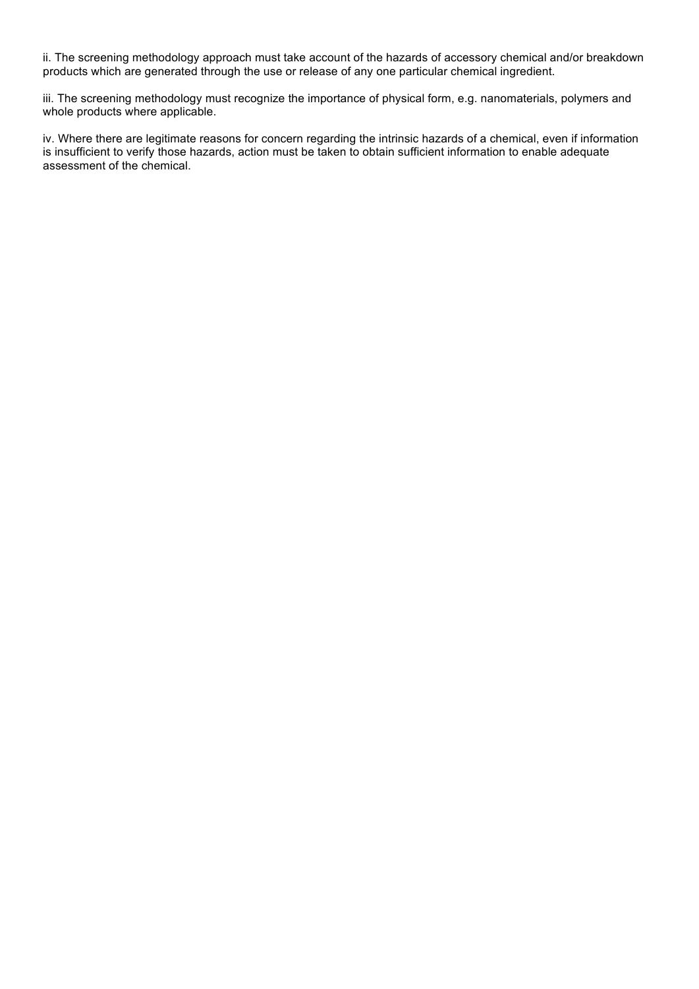ii. The screening methodology approach must take account of the hazards of accessory chemical and/or breakdown products which are generated through the use or release of any one particular chemical ingredient.

iii. The screening methodology must recognize the importance of physical form, e.g. nanomaterials, polymers and whole products where applicable.

iv. Where there are legitimate reasons for concern regarding the intrinsic hazards of a chemical, even if information is insufficient to verify those hazards, action must be taken to obtain sufficient information to enable adequate assessment of the chemical.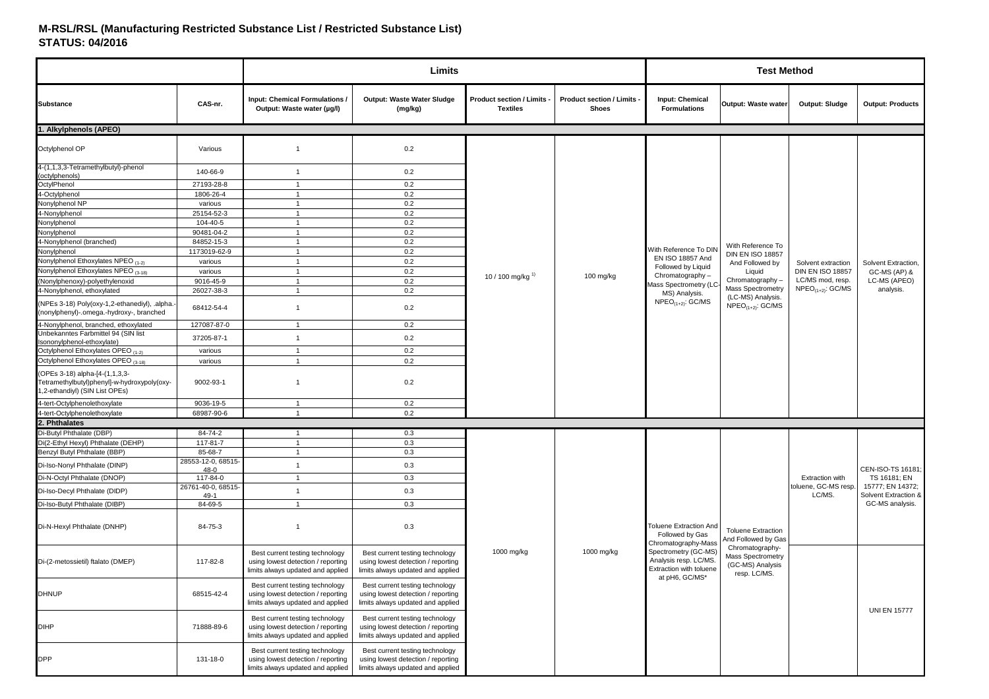#### **M-RSL/RSL (Manufacturing Restricted Substance List / Restricted Substance List)STATUS: 04/2016**

|                                                                                                                 |                            |                                                                                                            | Limits                                                                                                     |                                                    |                                                 |                                                                          | <b>Test Method</b>                                                                                                             |                         |                                         |
|-----------------------------------------------------------------------------------------------------------------|----------------------------|------------------------------------------------------------------------------------------------------------|------------------------------------------------------------------------------------------------------------|----------------------------------------------------|-------------------------------------------------|--------------------------------------------------------------------------|--------------------------------------------------------------------------------------------------------------------------------|-------------------------|-----------------------------------------|
| <b>Substance</b>                                                                                                | CAS-nr.                    | <b>Input: Chemical Formulations /</b><br>Output: Waste water (µg/l)                                        | Output: Waste Water Sludge<br>(mg/kg)                                                                      | <b>Product section / Limits</b><br><b>Textiles</b> | <b>Product section / Limits</b><br><b>Shoes</b> | <b>Input: Chemical</b><br><b>Formulations</b>                            | Output: Waste water                                                                                                            | Output: Sludge          | <b>Output: Products</b>                 |
| 1. Alkylphenols (APEO)                                                                                          |                            |                                                                                                            |                                                                                                            |                                                    |                                                 |                                                                          |                                                                                                                                |                         |                                         |
| Octylphenol OP                                                                                                  | Various                    | $\overline{1}$                                                                                             | 0.2                                                                                                        |                                                    |                                                 |                                                                          |                                                                                                                                |                         |                                         |
| 4-(1,1,3,3-Tetramethylbutyl)-phenol<br>(octylphenols)                                                           | 140-66-9                   | $\mathbf{1}$                                                                                               | 0.2                                                                                                        |                                                    |                                                 |                                                                          |                                                                                                                                |                         |                                         |
| OctylPhenol                                                                                                     | 27193-28-8                 | $\mathbf{1}$                                                                                               | 0.2                                                                                                        |                                                    |                                                 |                                                                          |                                                                                                                                |                         |                                         |
| 4-Octylphenol                                                                                                   | 1806-26-4                  | $\mathbf{1}$                                                                                               | 0.2                                                                                                        |                                                    |                                                 |                                                                          |                                                                                                                                |                         |                                         |
| Nonylphenol NP                                                                                                  | various                    | $\mathbf{1}$                                                                                               | 0.2                                                                                                        |                                                    |                                                 |                                                                          |                                                                                                                                |                         |                                         |
| 4-Nonylphenol                                                                                                   | 25154-52-3                 | $\mathbf{1}$                                                                                               | 0.2                                                                                                        |                                                    |                                                 |                                                                          |                                                                                                                                |                         |                                         |
| Nonylphenol                                                                                                     | 104-40-5                   | $\mathbf{1}$                                                                                               | 0.2                                                                                                        |                                                    |                                                 |                                                                          |                                                                                                                                |                         |                                         |
| Nonylphenol                                                                                                     | 90481-04-2                 | $\mathbf{1}$                                                                                               | 0.2                                                                                                        |                                                    |                                                 |                                                                          |                                                                                                                                |                         |                                         |
| 4-Nonylphenol (branched)                                                                                        | 84852-15-3                 | $\mathbf{1}$                                                                                               | 0.2                                                                                                        |                                                    |                                                 | With Reference To DIN                                                    | With Reference To                                                                                                              |                         |                                         |
| Nonylphenol                                                                                                     | 1173019-62-9               | $\mathbf{1}$                                                                                               | 0.2                                                                                                        |                                                    |                                                 | EN ISO 18857 And                                                         | <b>DIN EN ISO 18857</b>                                                                                                        |                         |                                         |
| Nonylphenol Ethoxylates NPEO (1-2)                                                                              | various                    | $\mathbf{1}$                                                                                               | 0.2                                                                                                        |                                                    |                                                 | Followed by Liquid                                                       | And Followed by                                                                                                                | Solvent extraction      | Solvent Extraction,                     |
| Nonylphenol Ethoxylates NPEO (3-18)                                                                             | various                    | $\mathbf{1}$                                                                                               | 0.2                                                                                                        | 10 / 100 mg/kg $^{1}$                              | 100 mg/kg                                       | Chromatography-                                                          | Liquid                                                                                                                         | <b>DIN EN ISO 18857</b> | GC-MS (AP) &                            |
| (Nonylphenoxy)-polyethylenoxid                                                                                  | 9016-45-9                  | $\mathbf{1}$                                                                                               | 0.2                                                                                                        |                                                    |                                                 | Mass Spectrometry (LC                                                    | Chromatography-<br>Mass Spectrometry<br>MS) Analysis.<br>(LC-MS) Analysis.<br>$NPEO_{(1+2)}$ : GC/MS<br>$NPEO_{(1+2)}$ : GC/MS | LC/MS mod, resp.        | LC-MS (APEO)                            |
| 4-Nonylphenol, ethoxylated                                                                                      | 26027-38-3                 | $\mathbf{1}$                                                                                               | 0.2                                                                                                        |                                                    |                                                 |                                                                          |                                                                                                                                | $NPEO_{(1+2)}$ : GC/MS  | analysis.                               |
| (NPEs 3-18) Poly(oxy-1,2-ethanediyl), .alpha.<br>(nonylphenyl)-.omega.-hydroxy-, branched                       | 68412-54-4                 | $\mathbf{1}$                                                                                               | 0.2                                                                                                        |                                                    |                                                 |                                                                          |                                                                                                                                |                         |                                         |
| 4-Nonylphenol, branched, ethoxylated                                                                            | 127087-87-0                | $\mathbf{1}$                                                                                               | 0.2                                                                                                        |                                                    |                                                 |                                                                          |                                                                                                                                |                         |                                         |
| Unbekanntes Farbmittel 94 (SIN list<br>Isononylphenol-ethoxylate)                                               | 37205-87-1                 | $\mathbf{1}$                                                                                               | 0.2                                                                                                        |                                                    |                                                 |                                                                          |                                                                                                                                |                         |                                         |
| Octylphenol Ethoxylates OPEO (1-2)                                                                              | various                    | $\mathbf{1}$                                                                                               | 0.2                                                                                                        |                                                    |                                                 |                                                                          |                                                                                                                                |                         |                                         |
| Octylphenol Ethoxylates OPEO (3-18)                                                                             | various                    | $\mathbf{1}$                                                                                               | 0.2                                                                                                        |                                                    |                                                 |                                                                          |                                                                                                                                |                         |                                         |
| (OPEs 3-18) alpha-[4-(1,1,3,3-<br>Tetramethylbutyl)phenyl]-w-hydroxypoly(oxy-<br>1,2-ethandiyl) (SIN List OPEs) | 9002-93-1                  | $\mathbf{1}$                                                                                               | 0.2                                                                                                        |                                                    |                                                 |                                                                          |                                                                                                                                |                         |                                         |
| 4-tert-Octylphenolethoxylate                                                                                    | 9036-19-5                  | -1                                                                                                         | 0.2                                                                                                        |                                                    |                                                 |                                                                          |                                                                                                                                |                         |                                         |
| 4-tert-Octylphenolethoxylate                                                                                    | 68987-90-6                 | $\mathbf{1}$                                                                                               | 0.2                                                                                                        |                                                    |                                                 |                                                                          |                                                                                                                                |                         |                                         |
| 2. Phthalates                                                                                                   |                            |                                                                                                            |                                                                                                            |                                                    |                                                 |                                                                          |                                                                                                                                |                         |                                         |
| Di-Butyl Phthalate (DBP)                                                                                        | 84-74-2                    | $\mathbf{1}$                                                                                               | 0.3                                                                                                        |                                                    |                                                 |                                                                          |                                                                                                                                |                         |                                         |
| Di(2-Ethyl Hexyl) Phthalate (DEHP)                                                                              | 117-81-7                   | $\mathbf{1}$                                                                                               | 0.3                                                                                                        |                                                    |                                                 |                                                                          |                                                                                                                                |                         |                                         |
| Benzyl Butyl Phthalate (BBP)                                                                                    | 85-68-7                    | $\mathbf{1}$                                                                                               | 0.3                                                                                                        |                                                    |                                                 |                                                                          |                                                                                                                                |                         |                                         |
| Di-Iso-Nonyl Phthalate (DINP)                                                                                   | 28553-12-0, 68515-<br>48-0 | $\mathbf{1}$                                                                                               | 0.3                                                                                                        |                                                    |                                                 |                                                                          |                                                                                                                                |                         | CEN-ISO-TS 16181:                       |
| Di-N-Octyl Phthalate (DNOP)                                                                                     | 117-84-0                   | $\mathbf{1}$                                                                                               | 0.3                                                                                                        |                                                    |                                                 |                                                                          |                                                                                                                                | <b>Extraction with</b>  | TS 16181; EN                            |
| Di-Iso-Decyl Phthalate (DIDP)                                                                                   | 26761-40-0, 68515-         | $\mathbf{1}$                                                                                               | 0.3                                                                                                        |                                                    |                                                 |                                                                          |                                                                                                                                | toluene, GC-MS resp.    | 15777; EN 14372;                        |
| Di-Iso-Butyl Phthalate (DIBP)                                                                                   | $49-1$<br>84-69-5          | $\mathbf{1}$                                                                                               | 0.3                                                                                                        |                                                    |                                                 |                                                                          |                                                                                                                                | LC/MS.                  | Solvent Extraction &<br>GC-MS analysis. |
| Di-N-Hexyl Phthalate (DNHP)                                                                                     | 84-75-3                    | $\mathbf{1}$                                                                                               | 0.3                                                                                                        |                                                    |                                                 | <b>Toluene Extraction And</b><br>Followed by Gas<br>Chromatography-Mass  | <b>Toluene Extraction</b><br>And Followed by Gas                                                                               |                         |                                         |
| Di-(2-metossietil) ftalato (DMEP)                                                                               | 117-82-8                   | Best current testing technology<br>using lowest detection / reporting<br>limits always updated and applied | Best current testing technology<br>using lowest detection / reporting<br>limits always updated and applied | 1000 mg/kg                                         | 1000 mg/kg                                      | Spectrometry (GC-MS)<br>Analysis resp. LC/MS.<br>Extraction with toluene | Chromatography-<br>Mass Spectrometry<br>(GC-MS) Analysis<br>resp. LC/MS.                                                       |                         |                                         |
| <b>DHNUP</b>                                                                                                    | 68515-42-4                 | Best current testing technology<br>using lowest detection / reporting<br>limits always updated and applied | Best current testing technology<br>using lowest detection / reporting<br>limits always updated and applied |                                                    |                                                 | at pH6, GC/MS*                                                           |                                                                                                                                |                         | <b>UNI EN 15777</b>                     |
| <b>DIHP</b>                                                                                                     | 71888-89-6                 | Best current testing technology<br>using lowest detection / reporting<br>limits always updated and applied | Best current testing technology<br>using lowest detection / reporting<br>limits always updated and applied |                                                    |                                                 |                                                                          |                                                                                                                                |                         |                                         |
| <b>DPP</b>                                                                                                      | 131-18-0                   | Best current testing technology<br>using lowest detection / reporting<br>limits always updated and applied | Best current testing technology<br>using lowest detection / reporting<br>limits always updated and applied |                                                    |                                                 |                                                                          |                                                                                                                                |                         |                                         |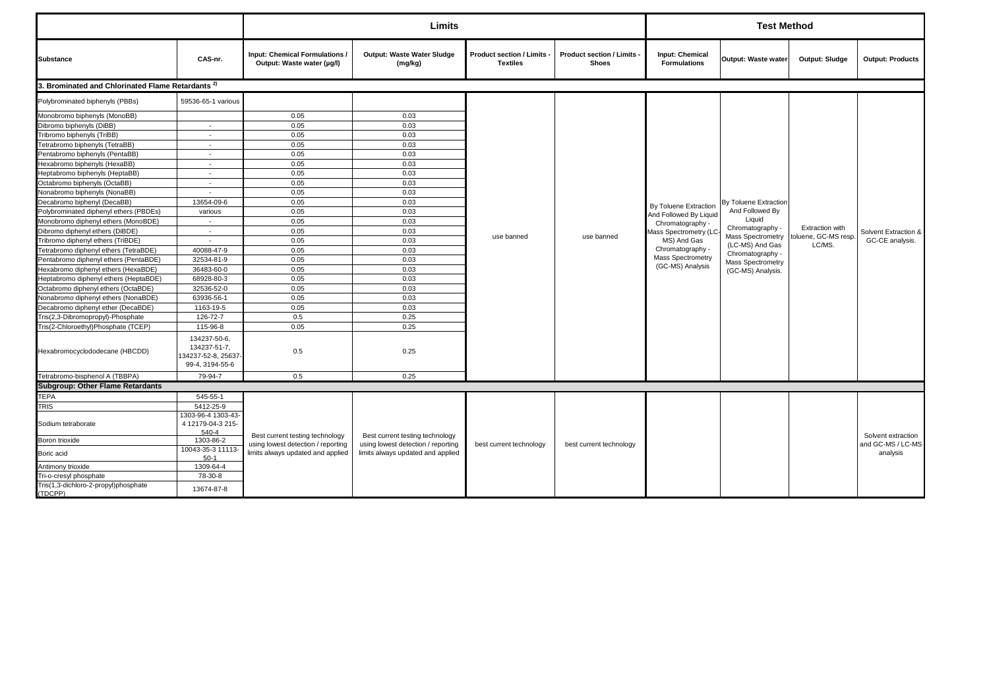|                                                              |                                                                       |                                                                       | Limits                                                                |                                                    |                                                 |                                                 | <b>Test Method</b>                  |                               |                                         |
|--------------------------------------------------------------|-----------------------------------------------------------------------|-----------------------------------------------------------------------|-----------------------------------------------------------------------|----------------------------------------------------|-------------------------------------------------|-------------------------------------------------|-------------------------------------|-------------------------------|-----------------------------------------|
| <b>Substance</b>                                             | CAS-nr.                                                               | <b>Input: Chemical Formulations /</b><br>Output: Waste water (µg/l)   | Output: Waste Water Sludge<br>(mg/kg)                                 | <b>Product section / Limits</b><br><b>Textiles</b> | <b>Product section / Limits</b><br><b>Shoes</b> | <b>Input: Chemical</b><br><b>Formulations</b>   | Output: Waste water                 | Output: Sludge                | <b>Output: Products</b>                 |
| 3. Brominated and Chlorinated Flame Retardants <sup>2)</sup> |                                                                       |                                                                       |                                                                       |                                                    |                                                 |                                                 |                                     |                               |                                         |
| Polybrominated biphenyls (PBBs)                              | 59536-65-1 various                                                    |                                                                       |                                                                       |                                                    |                                                 |                                                 |                                     |                               |                                         |
| Monobromo biphenyls (MonoBB)                                 |                                                                       | 0.05                                                                  | 0.03                                                                  |                                                    |                                                 |                                                 |                                     |                               |                                         |
| Dibromo biphenyls (DiBB)                                     | $\sim$                                                                | 0.05                                                                  | 0.03                                                                  |                                                    |                                                 |                                                 |                                     |                               |                                         |
| Tribromo biphenyls (TriBB)                                   | $\overline{\phantom{a}}$                                              | 0.05                                                                  | 0.03                                                                  |                                                    |                                                 |                                                 |                                     |                               |                                         |
| Tetrabromo biphenyls (TetraBB)                               | $\sim$                                                                | 0.05                                                                  | 0.03                                                                  |                                                    |                                                 |                                                 |                                     |                               |                                         |
| Pentabromo biphenyls (PentaBB)                               | $\sim$                                                                | 0.05                                                                  | 0.03                                                                  |                                                    |                                                 |                                                 |                                     |                               |                                         |
| Hexabromo biphenyls (HexaBB)                                 | $\sim$                                                                | 0.05                                                                  | 0.03                                                                  |                                                    |                                                 |                                                 |                                     |                               |                                         |
| Heptabromo biphenyls (HeptaBB)                               |                                                                       | 0.05                                                                  | 0.03                                                                  |                                                    |                                                 |                                                 |                                     |                               |                                         |
| Octabromo biphenyls (OctaBB)                                 | $\sim$                                                                | 0.05                                                                  | 0.03                                                                  |                                                    |                                                 | By Toluene Extraction<br>And Followed By Liquid | By Toluene Extraction               |                               |                                         |
| Nonabromo biphenyls (NonaBB)                                 | $\overline{\phantom{a}}$                                              | 0.05                                                                  | 0.03                                                                  |                                                    |                                                 |                                                 |                                     |                               |                                         |
| Decabromo biphenyl (DecaBB)                                  | 13654-09-6                                                            | 0.05                                                                  | 0.03                                                                  |                                                    |                                                 |                                                 |                                     |                               |                                         |
| Polybrominated diphenyl ethers (PBDEs)                       | various                                                               | 0.05                                                                  | 0.03                                                                  |                                                    |                                                 |                                                 | And Followed By                     |                               |                                         |
| Monobromo diphenyl ethers (MonoBDE)                          | $\sim$                                                                | 0.05                                                                  | 0.03                                                                  |                                                    |                                                 | Chromatography -                                | Liquid                              |                               |                                         |
| Dibromo diphenyl ethers (DiBDE)                              | $\sim$                                                                | 0.05                                                                  | 0.03                                                                  | use banned                                         |                                                 | Mass Spectrometry (LC                           | Chromatography -                    | Extraction with               | Solvent Extraction &                    |
| Tribromo diphenyl ethers (TriBDE)                            | $\sim$                                                                | 0.05                                                                  | 0.03                                                                  |                                                    | use banned                                      | MS) And Gas                                     | <b>Mass Spectrometry</b>            | toluene, GC-MS resp<br>LC/MS. | GC-CE analysis.                         |
| Tetrabromo diphenyl ethers (TetraBDE)                        | 40088-47-9                                                            | 0.05                                                                  | 0.03                                                                  |                                                    |                                                 | Chromatography -                                | (LC-MS) And Gas<br>Chromatography - |                               |                                         |
| Pentabromo diphenyl ethers (PentaBDE)                        | 32534-81-9                                                            | 0.05                                                                  | 0.03                                                                  |                                                    |                                                 | Mass Spectrometry                               | <b>Mass Spectrometry</b>            |                               |                                         |
| Hexabromo diphenyl ethers (HexaBDE)                          | 36483-60-0                                                            | 0.05                                                                  | 0.03                                                                  |                                                    |                                                 | (GC-MS) Analysis                                | (GC-MS) Analysis.                   |                               |                                         |
| Heptabromo diphenyl ethers (HeptaBDE)                        | 68928-80-3                                                            | 0.05                                                                  | 0.03                                                                  |                                                    |                                                 |                                                 |                                     |                               |                                         |
| Octabromo diphenyl ethers (OctaBDE)                          | 32536-52-0                                                            | 0.05                                                                  | 0.03                                                                  |                                                    |                                                 |                                                 |                                     |                               |                                         |
| Nonabromo diphenyl ethers (NonaBDE)                          | 63936-56-1                                                            | 0.05                                                                  | 0.03                                                                  |                                                    |                                                 |                                                 |                                     |                               |                                         |
| Decabromo diphenyl ether (DecaBDE)                           | 1163-19-5                                                             | 0.05                                                                  | 0.03                                                                  |                                                    |                                                 |                                                 |                                     |                               |                                         |
| Tris(2,3-Dibromopropyl)-Phosphate                            | 126-72-7                                                              | 0.5                                                                   | 0.25                                                                  |                                                    |                                                 |                                                 |                                     |                               |                                         |
| Tris(2-Chloroethyl)Phosphate (TCEP)                          | 115-96-8                                                              | 0.05                                                                  | 0.25                                                                  |                                                    |                                                 |                                                 |                                     |                               |                                         |
| Hexabromocyclododecane (HBCDD)                               | 134237-50-6,<br>134237-51-7,<br>134237-52-8, 25637<br>99-4, 3194-55-6 | 0.5                                                                   | 0.25                                                                  |                                                    |                                                 |                                                 |                                     |                               |                                         |
| Tetrabromo-bisphenol A (TBBPA)                               | 79-94-7                                                               | 0.5                                                                   | 0.25                                                                  |                                                    |                                                 |                                                 |                                     |                               |                                         |
| <b>Subgroup: Other Flame Retardants</b>                      |                                                                       |                                                                       |                                                                       |                                                    |                                                 |                                                 |                                     |                               |                                         |
| <b>TEPA</b>                                                  | 545-55-1                                                              |                                                                       |                                                                       |                                                    |                                                 |                                                 |                                     |                               |                                         |
| <b>TRIS</b>                                                  | 5412-25-9                                                             |                                                                       |                                                                       |                                                    |                                                 |                                                 |                                     |                               |                                         |
| Sodium tetraborate                                           | 1303-96-4 1303-43-<br>4 12179-04-3 215-<br>540-4                      |                                                                       |                                                                       |                                                    |                                                 |                                                 |                                     |                               |                                         |
| Boron trioxide                                               | 1303-86-2                                                             | Best current testing technology<br>using lowest detection / reporting | Best current testing technology<br>using lowest detection / reporting |                                                    | best current technology                         |                                                 |                                     |                               | Solvent extraction<br>and GC-MS / LC-MS |
| Boric acid                                                   | 10043-35-3 11113-<br>$50-1$                                           | limits always updated and applied                                     | limits always updated and applied                                     | best current technology                            |                                                 |                                                 |                                     |                               | analysis                                |
| Antimony trioxide                                            | 1309-64-4                                                             |                                                                       |                                                                       |                                                    |                                                 |                                                 |                                     |                               |                                         |
| Tri-o-cresyl phosphate                                       | 78-30-8                                                               |                                                                       |                                                                       |                                                    |                                                 |                                                 |                                     |                               |                                         |
| Tris(1,3-dichloro-2-propyl)phosphate<br>(TDCPP)              | 13674-87-8                                                            |                                                                       |                                                                       |                                                    |                                                 |                                                 |                                     |                               |                                         |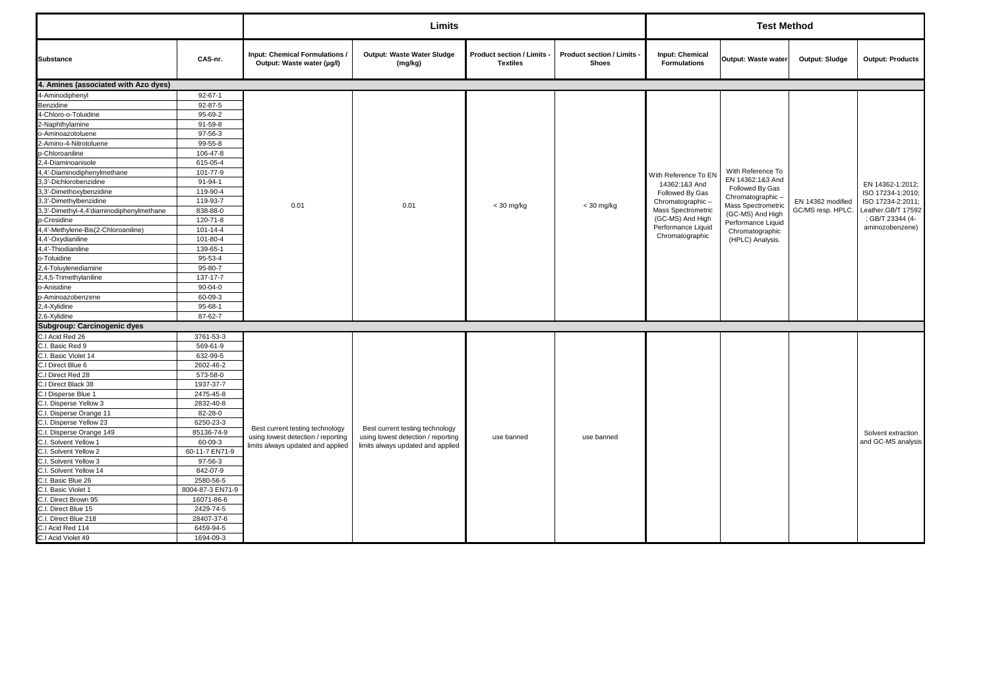|                                          |                  |                                                              | Limits                                |                                               |                                          |                                        | <b>Test Method</b>                  |                   |                         |
|------------------------------------------|------------------|--------------------------------------------------------------|---------------------------------------|-----------------------------------------------|------------------------------------------|----------------------------------------|-------------------------------------|-------------------|-------------------------|
| <b>Substance</b>                         | CAS-nr.          | Input: Chemical Formulations /<br>Output: Waste water (µg/l) | Output: Waste Water Sludge<br>(mg/kg) | Product section / Limits -<br><b>Textiles</b> | Product section / Limits<br><b>Shoes</b> | Input: Chemical<br><b>Formulations</b> | Output: Waste water                 | Output: Sludge    | <b>Output: Products</b> |
| 4. Amines (associated with Azo dyes)     |                  |                                                              |                                       |                                               |                                          |                                        |                                     |                   |                         |
| 4-Aminodiphenyl                          | $92 - 67 - 1$    |                                                              |                                       |                                               |                                          |                                        |                                     |                   |                         |
| Benzidine                                | $92 - 87 - 5$    |                                                              |                                       |                                               |                                          |                                        |                                     |                   |                         |
| 4-Chloro-o-Toluidine                     | 95-69-2          |                                                              |                                       |                                               |                                          |                                        |                                     |                   |                         |
| 2-Naphthylamine                          | 91-59-8          |                                                              |                                       |                                               |                                          |                                        |                                     |                   |                         |
| o-Aminoazotoluene                        | 97-56-3          |                                                              |                                       |                                               |                                          |                                        |                                     |                   |                         |
| 2-Amino-4-Nitrotoluene                   | 99-55-8          |                                                              |                                       |                                               |                                          |                                        |                                     |                   |                         |
| p-Chloroaniline                          | 106-47-8         |                                                              |                                       |                                               |                                          |                                        |                                     |                   |                         |
| 2,4-Diaminoanisole                       | 615-05-4         |                                                              |                                       |                                               |                                          |                                        |                                     |                   |                         |
| 4,4'-Diaminodiphenylmethane              | 101-77-9         |                                                              |                                       |                                               |                                          | With Reference To EN                   | With Reference To                   |                   |                         |
| 3,3'-Dichlorobenzidine                   | $91 - 94 - 1$    |                                                              |                                       |                                               |                                          | 14362:1&3 And                          | EN 14362:1&3 And                    |                   | EN 14362-1:2012;        |
| 3,3'-Dimethoxybenzidine                  | 119-90-4         |                                                              |                                       |                                               |                                          | Followed By Gas                        | Followed By Gas<br>Chromatographic- |                   | ISO 17234-1:2010:       |
| 3,3'-Dimethylbenzidine                   | 119-93-7         | 0.01                                                         | 0.01                                  | $<$ 30 mg/kg                                  | $<$ 30 mg/kg                             | Chromatographic-                       | Mass Spectrometric                  | EN 14362 modified | ISO 17234-2:2011;       |
| 3,3'-Dimethyl-4,4'diaminodiphenylmethane | 838-88-0         |                                                              |                                       |                                               |                                          | Mass Spectrometric                     | (GC-MS) And High                    | GC/MS resp. HPLC. | eather.GB/T 17592       |
| p-Cresidine                              | 120-71-8         |                                                              |                                       |                                               |                                          | (GC-MS) And High                       | Performance Liquid                  |                   | : GB/T 23344 (4-        |
| 4,4'-Methylene-Bis(2-Chloroaniline)      | $101 - 14 - 4$   |                                                              |                                       |                                               |                                          | Performance Liquid                     | Chromatographic                     |                   | aminozobenzene)         |
| 4,4'-Oxydianiline                        | 101-80-4         |                                                              |                                       |                                               |                                          | Chromatographic                        | (HPLC) Analysis.                    |                   |                         |
| 4,4'-Thiodianiline                       | 139-65-1         |                                                              |                                       |                                               |                                          |                                        |                                     |                   |                         |
| o-Toluidine                              | 95-53-4          |                                                              |                                       |                                               |                                          |                                        |                                     |                   |                         |
| 2,4-Toluylenediamine                     | 95-80-7          |                                                              |                                       |                                               |                                          |                                        |                                     |                   |                         |
| 2,4,5-Trimethylaniline                   | 137-17-7         |                                                              |                                       |                                               |                                          |                                        |                                     |                   |                         |
| o-Anisidine                              | $90 - 04 - 0$    |                                                              |                                       |                                               |                                          |                                        |                                     |                   |                         |
| p-Aminoazobenzene                        | 60-09-3          |                                                              |                                       |                                               |                                          |                                        |                                     |                   |                         |
| 2,4-Xylidine                             | 95-68-1          |                                                              |                                       |                                               |                                          |                                        |                                     |                   |                         |
| 2,6-Xylidine                             | 87-62-7          |                                                              |                                       |                                               |                                          |                                        |                                     |                   |                         |
| Subgroup: Carcinogenic dyes              |                  |                                                              |                                       |                                               |                                          |                                        |                                     |                   |                         |
| C.I Acid Red 26                          | 3761-53-3        |                                                              |                                       |                                               |                                          |                                        |                                     |                   |                         |
| C.I. Basic Red 9                         | 569-61-9         |                                                              |                                       |                                               |                                          |                                        |                                     |                   |                         |
| C.I. Basic Violet 14                     | 632-99-5         |                                                              |                                       |                                               |                                          |                                        |                                     |                   |                         |
| C.I Direct Blue 6                        | 2602-46-2        |                                                              |                                       |                                               |                                          |                                        |                                     |                   |                         |
| C.I Direct Red 28                        | 573-58-0         |                                                              |                                       |                                               |                                          |                                        |                                     |                   |                         |
| C.I Direct Black 38                      | 1937-37-7        |                                                              |                                       |                                               |                                          |                                        |                                     |                   |                         |
| C.I Disperse Blue 1                      | 2475-45-8        |                                                              |                                       |                                               |                                          |                                        |                                     |                   |                         |
| C.I. Disperse Yellow 3                   | 2832-40-8        |                                                              |                                       |                                               |                                          |                                        |                                     |                   |                         |
| C.I. Disperse Orange 11                  | 82-28-0          |                                                              |                                       |                                               |                                          |                                        |                                     |                   |                         |
| C.I. Disperse Yellow 23                  | 6250-23-3        | Best current testing technology                              | Best current testing technology       |                                               |                                          |                                        |                                     |                   |                         |
| C.I. Disperse Orange 149                 | 85136-74-9       | using lowest detection / reporting                           | using lowest detection / reporting    | use banned                                    | use banned                               |                                        |                                     |                   | Solvent extraction      |
| C.I. Solvent Yellow 1                    | 60-09-3          | limits always updated and applied                            | limits always updated and applied     |                                               |                                          |                                        |                                     |                   | and GC-MS analysis      |
| C.I. Solvent Yellow 2                    | 60-11-7 EN71-9   |                                                              |                                       |                                               |                                          |                                        |                                     |                   |                         |
| C.I. Solvent Yellow 3                    | 97-56-3          |                                                              |                                       |                                               |                                          |                                        |                                     |                   |                         |
| C.I. Solvent Yellow 14                   | 842-07-9         |                                                              |                                       |                                               |                                          |                                        |                                     |                   |                         |
| C.I. Basic Blue 26                       | 2580-56-5        |                                                              |                                       |                                               |                                          |                                        |                                     |                   |                         |
| C.I. Basic Violet 1                      | 8004-87-3 EN71-9 |                                                              |                                       |                                               |                                          |                                        |                                     |                   |                         |
| C.I. Direct Brown 95                     | 16071-86-6       |                                                              |                                       |                                               |                                          |                                        |                                     |                   |                         |
| C.I. Direct Blue 15                      | 2429-74-5        |                                                              |                                       |                                               |                                          |                                        |                                     |                   |                         |
| C.I. Direct Blue 218                     | 28407-37-6       |                                                              |                                       |                                               |                                          |                                        |                                     |                   |                         |
| C.I Acid Red 114                         | 6459-94-5        |                                                              |                                       |                                               |                                          |                                        |                                     |                   |                         |
| C.I Acid Violet 49                       | 1694-09-3        |                                                              |                                       |                                               |                                          |                                        |                                     |                   |                         |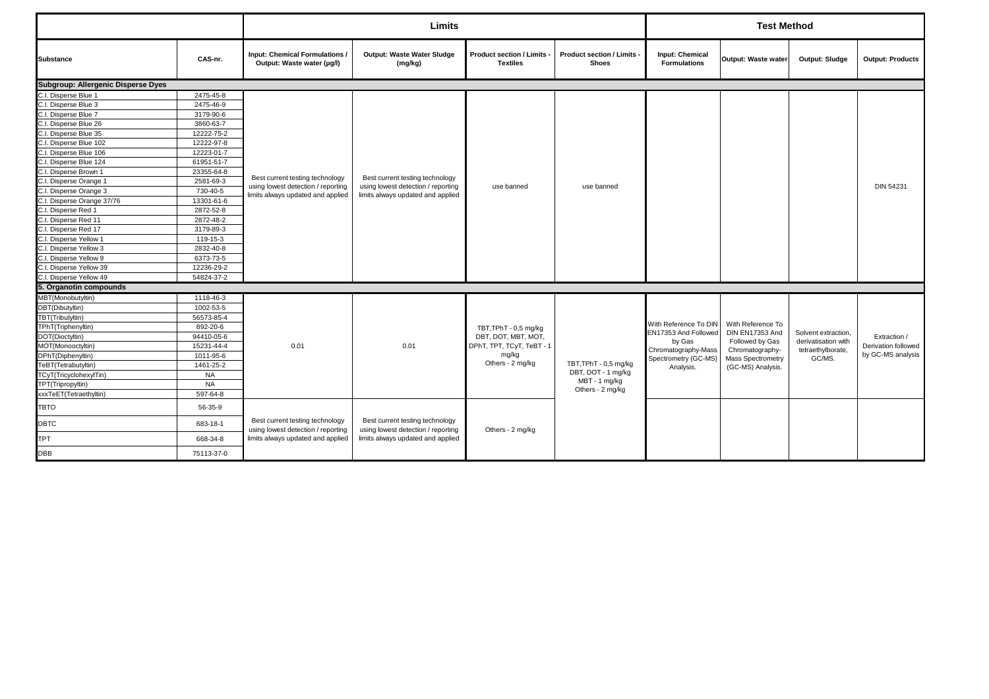|                                    |            |                                                                       | Limits                                                                                                     |                                                    |                                          |                                               | <b>Test Method</b>                   |                     |                         |
|------------------------------------|------------|-----------------------------------------------------------------------|------------------------------------------------------------------------------------------------------------|----------------------------------------------------|------------------------------------------|-----------------------------------------------|--------------------------------------|---------------------|-------------------------|
| <b>Substance</b>                   | CAS-nr.    | Input: Chemical Formulations /<br>Output: Waste water (µg/l)          | <b>Output: Waste Water Sludge</b><br>(mg/kg)                                                               | <b>Product section / Limits</b><br><b>Textiles</b> | Product section / Limits<br><b>Shoes</b> | <b>Input: Chemical</b><br><b>Formulations</b> | Output: Waste water                  | Output: Sludge      | <b>Output: Products</b> |
| Subgroup: Allergenic Disperse Dyes |            |                                                                       |                                                                                                            |                                                    |                                          |                                               |                                      |                     |                         |
| C.I. Disperse Blue 1               | 2475-45-8  |                                                                       |                                                                                                            |                                                    |                                          |                                               |                                      |                     |                         |
| C.I. Disperse Blue 3               | 2475-46-9  |                                                                       |                                                                                                            |                                                    |                                          |                                               |                                      |                     |                         |
| C.I. Disperse Blue 7               | 3179-90-6  |                                                                       |                                                                                                            |                                                    |                                          |                                               |                                      |                     |                         |
| C.I. Disperse Blue 26              | 3860-63-7  |                                                                       |                                                                                                            |                                                    |                                          |                                               |                                      |                     |                         |
| C.I. Disperse Blue 35              | 12222-75-2 |                                                                       |                                                                                                            |                                                    |                                          |                                               |                                      |                     |                         |
| C.I. Disperse Blue 102             | 12222-97-8 |                                                                       |                                                                                                            |                                                    |                                          |                                               |                                      |                     |                         |
| C.I. Disperse Blue 106             | 12223-01-7 |                                                                       |                                                                                                            |                                                    |                                          |                                               |                                      |                     |                         |
| C.I. Disperse Blue 124             | 61951-51-7 |                                                                       |                                                                                                            |                                                    |                                          |                                               |                                      |                     |                         |
| C.I. Disperse Brown 1              | 23355-64-8 | Best current testing technology                                       |                                                                                                            | use banned                                         |                                          |                                               |                                      |                     |                         |
| C.I. Disperse Orange 1             | 2581-69-3  | using lowest detection / reporting                                    | Best current testing technology<br>using lowest detection / reporting<br>limits always updated and applied |                                                    | use banned                               |                                               |                                      |                     | <b>DIN 54231</b>        |
| C.I. Disperse Orange 3             | 730-40-5   | limits always updated and applied                                     |                                                                                                            |                                                    |                                          |                                               |                                      |                     |                         |
| C.I. Disperse Orange 37/76         | 13301-61-6 |                                                                       |                                                                                                            |                                                    |                                          |                                               |                                      |                     |                         |
| C.I. Disperse Red 1                | 2872-52-8  |                                                                       |                                                                                                            |                                                    |                                          |                                               |                                      |                     |                         |
| C.I. Disperse Red 11               | 2872-48-2  |                                                                       |                                                                                                            |                                                    |                                          |                                               |                                      |                     |                         |
| C.I. Disperse Red 17               | 3179-89-3  |                                                                       |                                                                                                            |                                                    |                                          |                                               |                                      |                     |                         |
| C.I. Disperse Yellow 1             | 119-15-3   |                                                                       |                                                                                                            |                                                    |                                          |                                               |                                      |                     |                         |
| C.I. Disperse Yellow 3             | 2832-40-8  |                                                                       |                                                                                                            |                                                    |                                          |                                               |                                      |                     |                         |
| C.I. Disperse Yellow 9             | 6373-73-5  |                                                                       |                                                                                                            |                                                    |                                          |                                               |                                      |                     |                         |
| C.I. Disperse Yellow 39            | 12236-29-2 |                                                                       |                                                                                                            |                                                    |                                          |                                               |                                      |                     |                         |
| C.I. Disperse Yellow 49            | 54824-37-2 |                                                                       |                                                                                                            |                                                    |                                          |                                               |                                      |                     |                         |
| 5. Organotin compounds             |            |                                                                       |                                                                                                            |                                                    |                                          |                                               |                                      |                     |                         |
| MBT(Monobutyltin)                  | 1118-46-3  |                                                                       |                                                                                                            |                                                    |                                          |                                               |                                      |                     |                         |
| DBT(Dibutyltin)                    | 1002-53-5  |                                                                       |                                                                                                            |                                                    |                                          |                                               |                                      |                     |                         |
| TBT(Tributyltin)                   | 56573-85-4 |                                                                       |                                                                                                            |                                                    |                                          |                                               |                                      |                     |                         |
| TPhT(Triphenyltin)                 | 892-20-6   |                                                                       |                                                                                                            | TBT, TPhT - 0,5 mg/kg                              |                                          | With Reference To DIN<br>EN17353 And Followed | With Reference To<br>DIN EN17353 And | Solvent extraction, |                         |
| DOT(Dioctyltin)                    | 94410-05-6 |                                                                       |                                                                                                            | DBT, DOT, MBT, MOT,                                |                                          | by Gas                                        | Followed by Gas                      | derivatisation with | Extraction /            |
| MOT(Monooctyltin)                  | 15231-44-4 | 0.01                                                                  | 0.01                                                                                                       | DPhT, TPT, TCyT, TeBT - 1                          |                                          | Chromatography-Mass                           | Chromatography-                      | tetraethylborate,   | Derivation followed     |
| DPhT(Diphenyltin)                  | 1011-95-6  |                                                                       |                                                                                                            | mg/kg                                              |                                          | Spectrometry (GC-MS)                          | Mass Spectrometry                    | GC/MS.              | by GC-MS analysis       |
| TeBT(Tetrabutyltin)                | 1461-25-2  |                                                                       |                                                                                                            | Others - 2 mg/kg                                   | TBT, TPhT - 0,5 mg/kg                    | Analysis.                                     | (GC-MS) Analysis.                    |                     |                         |
| TCyT(TricyclohexylTin)             | <b>NA</b>  |                                                                       |                                                                                                            |                                                    | DBT, DOT - 1 mg/kg<br>MBT - 1 mg/kg      |                                               |                                      |                     |                         |
| TPT(Tripropyltin)                  | <b>NA</b>  |                                                                       |                                                                                                            |                                                    | Others - 2 mg/kg                         |                                               |                                      |                     |                         |
| xxxTeET(Tetraethyltin)             | 597-64-8   |                                                                       |                                                                                                            |                                                    |                                          |                                               |                                      |                     |                         |
| <b>TBTO</b>                        | 56-35-9    |                                                                       |                                                                                                            |                                                    |                                          |                                               |                                      |                     |                         |
| <b>DBTC</b>                        | 683-18-1   | Best current testing technology<br>using lowest detection / reporting | Best current testing technology<br>using lowest detection / reporting                                      | Others - 2 mg/kg                                   |                                          |                                               |                                      |                     |                         |
| <b>TPT</b>                         | 668-34-8   | limits always updated and applied                                     | limits always updated and applied                                                                          |                                                    |                                          |                                               |                                      |                     |                         |
| <b>DBB</b>                         | 75113-37-0 |                                                                       |                                                                                                            |                                                    |                                          |                                               |                                      |                     |                         |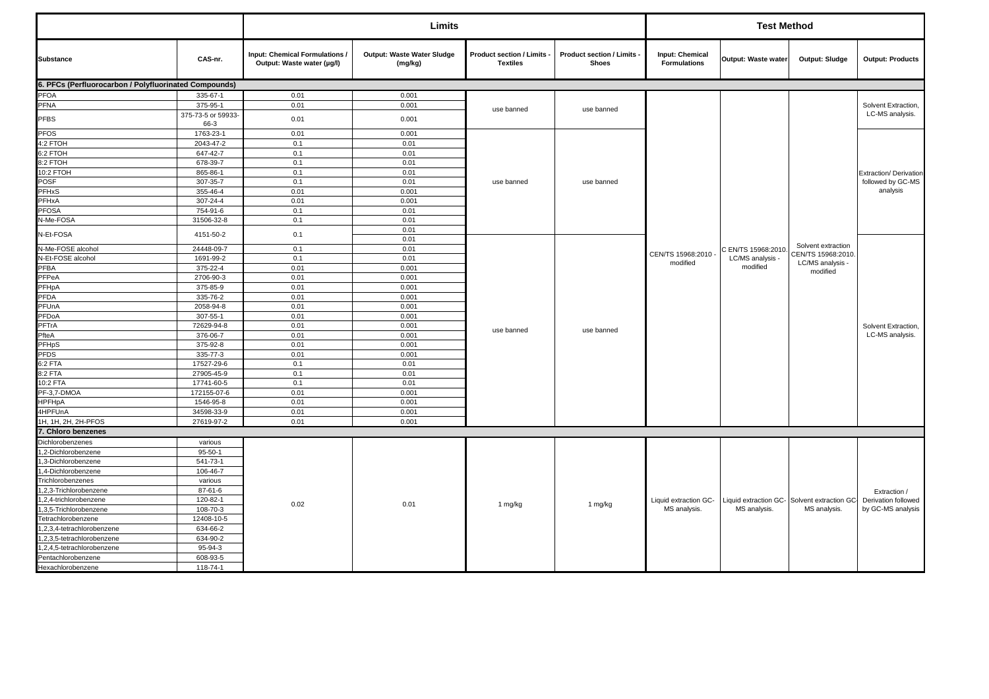|                                                       |                            |                                                              | Limits                                |                                               |                                            |                                               | <b>Test Method</b>  |                                                            |                                          |
|-------------------------------------------------------|----------------------------|--------------------------------------------------------------|---------------------------------------|-----------------------------------------------|--------------------------------------------|-----------------------------------------------|---------------------|------------------------------------------------------------|------------------------------------------|
| <b>Substance</b>                                      | CAS-nr.                    | Input: Chemical Formulations /<br>Output: Waste water (µg/l) | Output: Waste Water Sludge<br>(mg/kg) | Product section / Limits -<br><b>Textiles</b> | Product section / Limits -<br><b>Shoes</b> | <b>Input: Chemical</b><br><b>Formulations</b> | Output: Waste water | Output: Sludge                                             | <b>Output: Products</b>                  |
| 6. PFCs (Perfluorocarbon / Polyfluorinated Compounds) |                            |                                                              |                                       |                                               |                                            |                                               |                     |                                                            |                                          |
| <b>PFOA</b>                                           | 335-67-1                   | 0.01                                                         | 0.001                                 |                                               |                                            |                                               |                     |                                                            |                                          |
| PFNA                                                  | 375-95-1                   | 0.01                                                         | 0.001                                 | use banned                                    | use banned                                 |                                               |                     |                                                            | Solvent Extraction,                      |
| PFBS                                                  | 375-73-5 or 59933-<br>66-3 | 0.01                                                         | 0.001                                 |                                               |                                            |                                               |                     |                                                            | LC-MS analysis.                          |
| <b>PFOS</b>                                           | 1763-23-1                  | 0.01                                                         | 0.001                                 |                                               |                                            |                                               |                     |                                                            |                                          |
| 4:2 FTOH                                              | 2043-47-2                  | 0.1                                                          | 0.01                                  |                                               |                                            |                                               |                     |                                                            |                                          |
| 6:2 FTOH                                              | 647-42-7                   | 0.1                                                          | 0.01                                  |                                               |                                            |                                               |                     |                                                            |                                          |
| 8:2 FTOH                                              | 678-39-7                   | 0.1                                                          | 0.01                                  |                                               |                                            |                                               |                     |                                                            |                                          |
| 10:2 FTOH                                             | 865-86-1                   | 0.1                                                          | 0.01                                  |                                               |                                            |                                               |                     |                                                            | Extraction/ Derivation                   |
| POSF                                                  | 307-35-7                   | 0.1                                                          | 0.01                                  | use banned                                    | use banned                                 |                                               |                     |                                                            | followed by GC-MS                        |
| PFHxS                                                 | 355-46-4                   | 0.01                                                         | 0.001                                 |                                               |                                            |                                               |                     |                                                            | analysis                                 |
| PFHxA                                                 | 307-24-4                   | 0.01                                                         | 0.001                                 |                                               |                                            |                                               |                     |                                                            |                                          |
| PFOSA                                                 | 754-91-6                   | 0.1                                                          | 0.01                                  |                                               |                                            |                                               |                     |                                                            |                                          |
| N-Me-FOSA                                             | 31506-32-8                 | 0.1                                                          | 0.01                                  |                                               |                                            |                                               |                     |                                                            |                                          |
| N-Et-FOSA                                             | 4151-50-2                  | 0.1                                                          | 0.01<br>0.01                          |                                               |                                            |                                               |                     |                                                            |                                          |
| N-Me-FOSE alcohol                                     | 24448-09-7                 | 0.1                                                          | 0.01                                  |                                               |                                            |                                               | C EN/TS 15968:2010  | Solvent extraction                                         |                                          |
| N-Et-FOSE alcohol                                     | 1691-99-2                  | 0.1                                                          | 0.01                                  |                                               |                                            | CEN/TS 15968:2010 -                           | LC/MS analysis -    | CEN/TS 15968:2010                                          |                                          |
| PFBA                                                  | 375-22-4                   | 0.01                                                         | 0.001                                 |                                               |                                            | modified                                      | modified            | LC/MS analysis -                                           |                                          |
| PFPeA                                                 | 2706-90-3                  | 0.01                                                         | 0.001                                 |                                               |                                            |                                               |                     | modified                                                   |                                          |
| PFHpA                                                 | 375-85-9                   | 0.01                                                         | 0.001                                 |                                               |                                            |                                               |                     |                                                            |                                          |
| PFDA                                                  | 335-76-2                   | 0.01                                                         | 0.001                                 |                                               |                                            |                                               |                     |                                                            |                                          |
| PFUnA                                                 | 2058-94-8                  | 0.01                                                         | 0.001                                 |                                               |                                            |                                               |                     |                                                            |                                          |
| PFDoA                                                 | 307-55-1                   | 0.01                                                         | 0.001                                 |                                               |                                            |                                               |                     |                                                            |                                          |
| PFTrA                                                 | 72629-94-8                 | 0.01                                                         | 0.001                                 |                                               |                                            |                                               |                     |                                                            | Solvent Extraction,                      |
| PfteA                                                 | 376-06-7                   | 0.01                                                         | 0.001                                 | use banned                                    | use banned                                 |                                               |                     |                                                            | LC-MS analysis.                          |
| <b>PFHpS</b>                                          | 375-92-8                   | 0.01                                                         | 0.001                                 |                                               |                                            |                                               |                     |                                                            |                                          |
| <b>PFDS</b>                                           | 335-77-3                   | 0.01                                                         | 0.001                                 |                                               |                                            |                                               |                     |                                                            |                                          |
| $6:2$ FTA                                             | 17527-29-6                 | 0.1                                                          | 0.01                                  |                                               |                                            |                                               |                     |                                                            |                                          |
| 8:2 FTA                                               | 27905-45-9                 | 0.1                                                          | 0.01                                  |                                               |                                            |                                               |                     |                                                            |                                          |
| 10:2 FTA                                              | 17741-60-5                 | 0.1                                                          | 0.01                                  |                                               |                                            |                                               |                     |                                                            |                                          |
| $PF-3,7-DMOA$                                         | 172155-07-6                | 0.01                                                         | 0.001                                 |                                               |                                            |                                               |                     |                                                            |                                          |
| <b>HPFHpA</b>                                         | 1546-95-8                  | 0.01                                                         | 0.001                                 |                                               |                                            |                                               |                     |                                                            |                                          |
| 4HPFUnA                                               | 34598-33-9                 | 0.01                                                         | 0.001                                 |                                               |                                            |                                               |                     |                                                            |                                          |
| 1H, 1H, 2H, 2H-PFOS                                   | 27619-97-2                 | 0.01                                                         | 0.001                                 |                                               |                                            |                                               |                     |                                                            |                                          |
| 7. Chloro benzenes                                    |                            |                                                              |                                       |                                               |                                            |                                               |                     |                                                            |                                          |
| Dichlorobenzenes                                      | various                    |                                                              |                                       |                                               |                                            |                                               |                     |                                                            |                                          |
| ,2-Dichlorobenzene                                    | $95 - 50 - 1$              |                                                              |                                       |                                               |                                            |                                               |                     |                                                            |                                          |
| 3-Dichlorobenzene                                     | 541-73-1                   |                                                              |                                       |                                               |                                            |                                               |                     |                                                            |                                          |
| ,4-Dichlorobenzene                                    | 106-46-7                   |                                                              |                                       |                                               |                                            |                                               |                     |                                                            |                                          |
| Trichlorobenzenes                                     | various                    |                                                              |                                       |                                               |                                            |                                               |                     |                                                            |                                          |
| ,2,3-Trichlorobenzene<br>,2,4-trichlorobenzene        | 87-61-6<br>120-82-1        |                                                              |                                       | 1 mg/kg                                       |                                            |                                               |                     |                                                            | Extraction /                             |
| ,3,5-Trichlorobenzene                                 | 108-70-3                   | 0.02                                                         | 0.01                                  |                                               | 1 mg/kg                                    | Liquid extraction GC-<br>MS analysis.         | MS analysis.        | Liquid extraction GC-Solvent extraction GC<br>MS analysis. | Derivation followed<br>by GC-MS analysis |
| Tetrachlorobenzene                                    | 12408-10-5                 |                                                              |                                       |                                               |                                            |                                               |                     |                                                            |                                          |
| ,2,3,4-tetrachlorobenzene                             | 634-66-2                   |                                                              |                                       |                                               |                                            |                                               |                     |                                                            |                                          |
| 1,2,3,5-tetrachlorobenzene                            | 634-90-2                   |                                                              |                                       |                                               |                                            |                                               |                     |                                                            |                                          |
| 1,2,4,5-tetrachlorobenzene                            | 95-94-3                    |                                                              |                                       |                                               |                                            |                                               |                     |                                                            |                                          |
| Pentachlorobenzene                                    | 608-93-5                   |                                                              |                                       |                                               |                                            |                                               |                     |                                                            |                                          |
| Hexachlorobenzene                                     | 118-74-1                   |                                                              |                                       |                                               |                                            |                                               |                     |                                                            |                                          |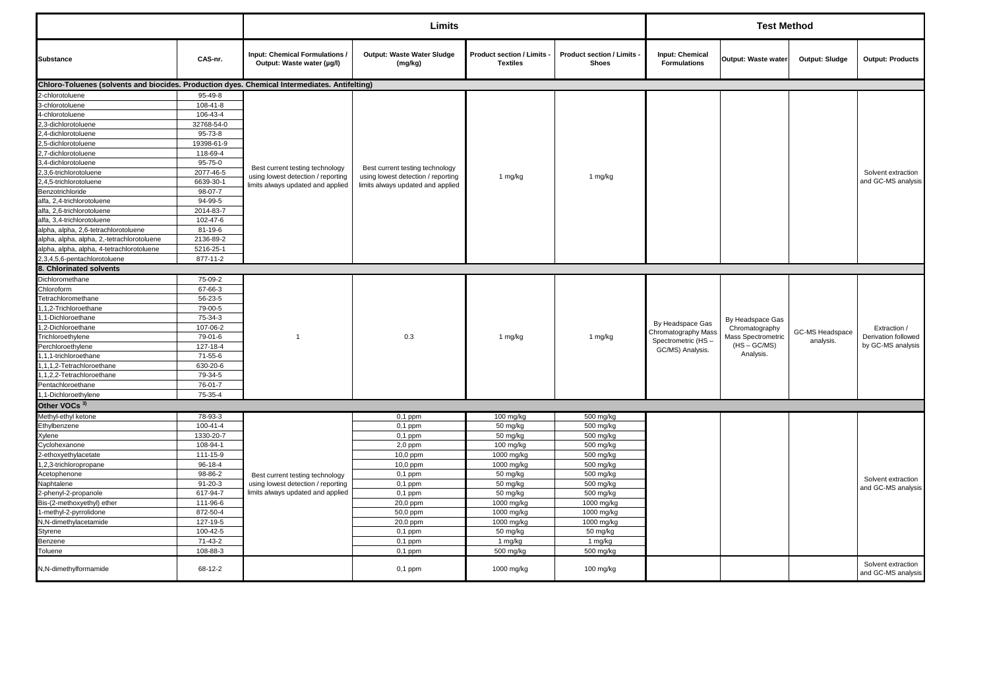|                                                                                               |                             |                                                                         | Limits                                |                                                    |                                                 |                                        | <b>Test Method</b>                 |                 |                                          |
|-----------------------------------------------------------------------------------------------|-----------------------------|-------------------------------------------------------------------------|---------------------------------------|----------------------------------------------------|-------------------------------------------------|----------------------------------------|------------------------------------|-----------------|------------------------------------------|
| <b>Substance</b>                                                                              | CAS-nr.                     | Input: Chemical Formulations /<br>Output: Waste water (µg/l)            | Output: Waste Water Sludge<br>(mg/kg) | <b>Product section / Limits</b><br><b>Textiles</b> | <b>Product section / Limits</b><br><b>Shoes</b> | Input: Chemical<br><b>Formulations</b> | Output: Waste water                | Output: Sludge  | <b>Output: Products</b>                  |
| Chloro-Toluenes (solvents and biocides. Production dyes. Chemical Intermediates. Antifelting) |                             |                                                                         |                                       |                                                    |                                                 |                                        |                                    |                 |                                          |
| -chlorotoluene                                                                                | 95-49-8                     |                                                                         |                                       |                                                    |                                                 |                                        |                                    |                 |                                          |
| 3-chlorotoluene                                                                               | 108-41-8                    |                                                                         |                                       |                                                    |                                                 |                                        |                                    |                 |                                          |
| 4-chlorotoluene                                                                               | 106-43-4                    |                                                                         |                                       |                                                    |                                                 |                                        |                                    |                 |                                          |
| 3-dichlorotoluene                                                                             | 32768-54-0                  |                                                                         |                                       |                                                    |                                                 |                                        |                                    |                 |                                          |
| 4-dichlorotoluene                                                                             | 95-73-8                     |                                                                         |                                       |                                                    |                                                 |                                        |                                    |                 |                                          |
| .5-dichlorotoluene                                                                            | 19398-61-9                  |                                                                         |                                       |                                                    |                                                 |                                        |                                    |                 |                                          |
| .7-dichlorotoluene                                                                            | 118-69-4                    |                                                                         |                                       |                                                    |                                                 |                                        |                                    |                 |                                          |
| 3,4-dichlorotoluene                                                                           | 95-75-0                     |                                                                         |                                       |                                                    |                                                 |                                        |                                    |                 |                                          |
| ,3,6-trichlorotoluene                                                                         | 2077-46-5                   | Best current testing technology                                         | Best current testing technology       |                                                    |                                                 |                                        |                                    |                 | Solvent extraction                       |
| .4,5-trichlorotoluene                                                                         | 6639-30-1                   | using lowest detection / reporting<br>limits always updated and applied | using lowest detection / reporting    | 1 mg/kg                                            | 1 mg/kg                                         |                                        |                                    |                 | and GC-MS analysis                       |
| Benzotrichloride                                                                              | 98-07-7                     |                                                                         | limits always updated and applied     |                                                    |                                                 |                                        |                                    |                 |                                          |
| alfa, 2,4-trichlorotoluene                                                                    | $94 - 99 - 5$               |                                                                         |                                       |                                                    |                                                 |                                        |                                    |                 |                                          |
| alfa, 2,6-trichlorotoluene                                                                    | 2014-83-7                   |                                                                         |                                       |                                                    |                                                 |                                        |                                    |                 |                                          |
| alfa, 3,4-trichlorotoluene                                                                    | 102-47-6                    |                                                                         |                                       |                                                    |                                                 |                                        |                                    |                 |                                          |
| alpha, alpha, 2,6-tetrachlorotoluene                                                          | $81 - 19 - 6$               |                                                                         |                                       |                                                    |                                                 |                                        |                                    |                 |                                          |
| alpha, alpha, alpha, 2,-tetrachlorotoluene                                                    | 2136-89-2                   |                                                                         |                                       |                                                    |                                                 |                                        |                                    |                 |                                          |
| alpha, alpha, alpha, 4-tetrachlorotoluene                                                     | 5216-25-1                   |                                                                         |                                       |                                                    |                                                 |                                        |                                    |                 |                                          |
| 2,3,4,5,6-pentachlorotoluene                                                                  | 877-11-2                    |                                                                         |                                       |                                                    |                                                 |                                        |                                    |                 |                                          |
| 8. Chlorinated solvents                                                                       |                             |                                                                         |                                       |                                                    |                                                 |                                        |                                    |                 |                                          |
| Dichloromethane                                                                               | 75-09-2                     |                                                                         |                                       |                                                    |                                                 |                                        |                                    |                 |                                          |
| Chloroform                                                                                    | 67-66-3                     |                                                                         |                                       |                                                    |                                                 |                                        |                                    |                 |                                          |
| Tetrachloromethane                                                                            | 56-23-5                     |                                                                         |                                       |                                                    |                                                 |                                        |                                    |                 |                                          |
| ,1,2-Trichloroethane                                                                          | 79-00-5                     |                                                                         |                                       |                                                    |                                                 |                                        |                                    |                 |                                          |
| ,1-Dichloroethane                                                                             | 75-34-3                     |                                                                         |                                       |                                                    |                                                 |                                        |                                    |                 |                                          |
| ,2-Dichloroethane                                                                             | 107-06-2                    |                                                                         |                                       |                                                    |                                                 | By Headspace Gas                       | By Headspace Gas<br>Chromatography |                 | Extraction /                             |
| Trichloroethylene                                                                             | 79-01-6                     | $\overline{1}$                                                          | 0.3                                   | 1 mg/kg                                            | 1 mg/kg                                         | Chromatography Mass                    | Mass Spectrometric                 | GC-MS Headspace | Derivation followed                      |
| Perchloroethylene                                                                             | 127-18-4                    |                                                                         |                                       |                                                    |                                                 | Spectrometric (HS-                     | $(HS - GC/MS)$                     | analysis.       | by GC-MS analysis                        |
| ,1,1-trichloroethane                                                                          | 71-55-6                     |                                                                         |                                       |                                                    |                                                 | GC/MS) Analysis.                       | Analysis.                          |                 |                                          |
| 1,1,1,2-Tetrachloroethane                                                                     | 630-20-6                    |                                                                         |                                       |                                                    |                                                 |                                        |                                    |                 |                                          |
| ,1,2,2-Tetrachloroethane                                                                      | 79-34-5                     |                                                                         |                                       |                                                    |                                                 |                                        |                                    |                 |                                          |
| Pentachloroethane                                                                             | 76-01-7                     |                                                                         |                                       |                                                    |                                                 |                                        |                                    |                 |                                          |
| 1,1-Dichloroethylene                                                                          | 75-35-4                     |                                                                         |                                       |                                                    |                                                 |                                        |                                    |                 |                                          |
| Other VOCs <sup>3)</sup>                                                                      |                             |                                                                         |                                       |                                                    |                                                 |                                        |                                    |                 |                                          |
|                                                                                               | 78-93-3                     |                                                                         |                                       |                                                    |                                                 |                                        |                                    |                 |                                          |
| Methyl-ethyl ketone                                                                           |                             |                                                                         | $0,1$ ppm                             | 100 mg/kg                                          | 500 mg/kg                                       |                                        |                                    |                 |                                          |
| Ethylbenzene                                                                                  | $100 - 41 - 4$<br>1330-20-7 |                                                                         | $0,1$ ppm                             | 50 mg/kg                                           | 500 mg/kg                                       |                                        |                                    |                 |                                          |
| (ylene                                                                                        |                             |                                                                         | $0,1$ ppm                             | 50 mg/kg                                           | 500 mg/kg                                       |                                        |                                    |                 |                                          |
| Cyclohexanone<br>ethoxyethylacetate                                                           | 108-94-1<br>111-15-9        |                                                                         | $2,0$ ppm<br>10,0 ppm                 | 100 mg/kg<br>1000 mg/kg                            | 500 mg/kg<br>500 mg/kg                          |                                        |                                    |                 |                                          |
|                                                                                               |                             |                                                                         |                                       |                                                    |                                                 |                                        |                                    |                 |                                          |
| ,2,3-trichloropropane<br>Acetophenone                                                         | 96-18-4<br>98-86-2          |                                                                         | 10,0 ppm                              | 1000 mg/kg<br>50 mg/kg                             | 500 mg/kg<br>500 mg/kg                          |                                        |                                    |                 |                                          |
|                                                                                               |                             | Best current testing technology                                         | $0,1$ ppm                             |                                                    |                                                 |                                        |                                    |                 | Solvent extraction                       |
| Naphtalene<br>2-phenyl-2-propanole                                                            | $91 - 20 - 3$<br>617-94-7   | using lowest detection / reporting<br>limits always updated and applied | $0,1$ ppm<br>$0,1$ ppm                | 50 mg/kg<br>50 mg/kg                               | 500 mg/kg<br>500 mg/kg                          |                                        |                                    |                 | and GC-MS analysis                       |
| Bis-(2-methoxyethyl) ether                                                                    | 111-96-6                    |                                                                         | 20,0 ppm                              | 1000 mg/kg                                         | 1000 mg/kg                                      |                                        |                                    |                 |                                          |
| -methyl-2-pyrrolidone                                                                         | 872-50-4                    |                                                                         | 50,0 ppm                              | 1000 mg/kg                                         | 1000 mg/kg                                      |                                        |                                    |                 |                                          |
|                                                                                               |                             |                                                                         |                                       |                                                    |                                                 |                                        |                                    |                 |                                          |
| N,N-dimethylacetamide<br>Styrene                                                              | 127-19-5<br>100-42-5        |                                                                         | 20,0 ppm<br>$0,1$ ppm                 | 1000 mg/kg<br>50 mg/kg                             | 1000 mg/kg<br>50 mg/kg                          |                                        |                                    |                 |                                          |
| Benzene                                                                                       | 71-43-2                     |                                                                         | $0,1$ ppm                             | 1 mg/kg                                            | 1 mg/kg                                         |                                        |                                    |                 |                                          |
|                                                                                               |                             |                                                                         |                                       |                                                    |                                                 |                                        |                                    |                 |                                          |
| Toluene                                                                                       | 108-88-3                    |                                                                         | $0,1$ ppm                             | 500 mg/kg                                          | 500 mg/kg                                       |                                        |                                    |                 |                                          |
| N,N-dimethylformamide                                                                         | 68-12-2                     |                                                                         | $0,1$ ppm                             | 1000 mg/kg                                         | 100 mg/kg                                       |                                        |                                    |                 | Solvent extraction<br>and GC-MS analysis |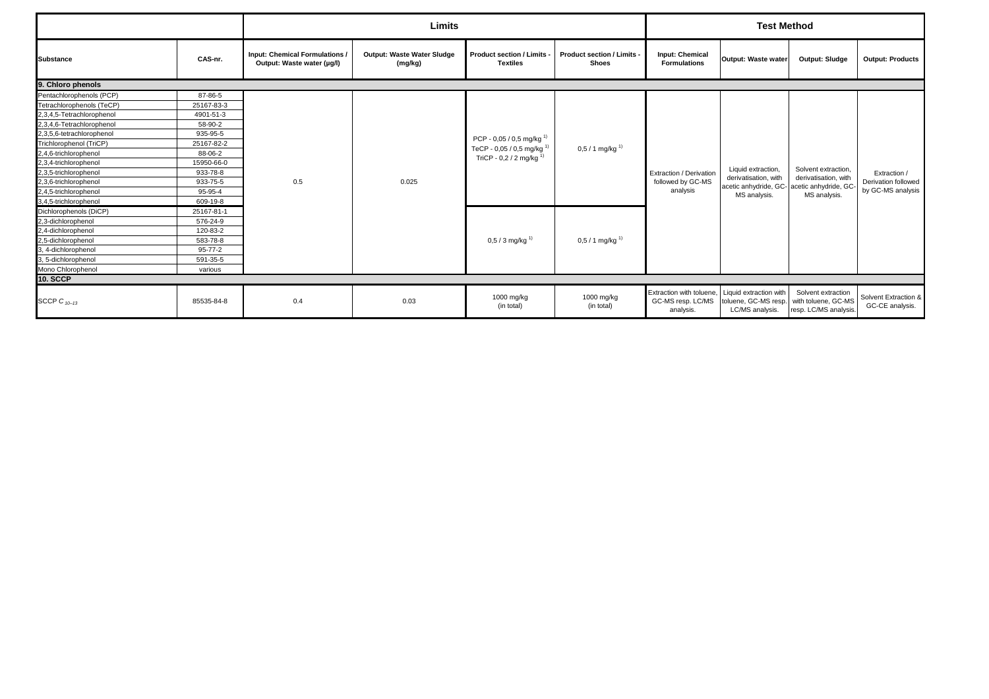|                           |               |                                                            | Limits                                       |                                                    |                                                 |                                                                                   | <b>Test Method</b>                      |                                                                                                           |                                                          |
|---------------------------|---------------|------------------------------------------------------------|----------------------------------------------|----------------------------------------------------|-------------------------------------------------|-----------------------------------------------------------------------------------|-----------------------------------------|-----------------------------------------------------------------------------------------------------------|----------------------------------------------------------|
| <b>Substance</b>          | CAS-nr.       | Input: Chemical Formulations<br>Output: Waste water (µg/l) | <b>Output: Waste Water Sludge</b><br>(mg/kg) | <b>Product section / Limits</b><br><b>Textiles</b> | <b>Product section / Limits</b><br><b>Shoes</b> | <b>Input: Chemical</b><br><b>Formulations</b>                                     | Output: Waste water                     | Output: Sludge                                                                                            | <b>Output: Products</b>                                  |
| 9. Chloro phenols         |               |                                                            |                                              |                                                    |                                                 |                                                                                   |                                         |                                                                                                           |                                                          |
| Pentachlorophenols (PCP)  | 87-86-5       |                                                            |                                              |                                                    |                                                 |                                                                                   |                                         |                                                                                                           |                                                          |
| Tetrachlorophenols (TeCP) | 25167-83-3    |                                                            |                                              |                                                    |                                                 |                                                                                   |                                         |                                                                                                           |                                                          |
| 2,3,4,5-Tetrachlorophenol | 4901-51-3     |                                                            |                                              |                                                    |                                                 |                                                                                   |                                         |                                                                                                           |                                                          |
| 2,3,4,6-Tetrachlorophenol | 58-90-2       |                                                            |                                              |                                                    |                                                 |                                                                                   |                                         |                                                                                                           |                                                          |
| 2,3,5,6-tetrachlorophenol | 935-95-5      |                                                            |                                              |                                                    |                                                 |                                                                                   |                                         |                                                                                                           |                                                          |
| Trichlorophenol (TriCP)   | 25167-82-2    |                                                            |                                              | PCP - 0,05 / 0,5 mg/kg <sup>1)</sup>               |                                                 |                                                                                   |                                         |                                                                                                           |                                                          |
| 2,4,6-trichlorophenol     | 88-06-2       |                                                            |                                              | TeCP - 0,05 / 0,5 mg/kg <sup>1)</sup>              | $0,5/1$ mg/kg <sup>1)</sup>                     |                                                                                   |                                         |                                                                                                           | Extraction /<br>Derivation followed<br>by GC-MS analysis |
| 2,3,4-trichlorophenol     | 15950-66-0    |                                                            |                                              | TriCP - 0,2 / 2 mg/kg <sup>1)</sup>                |                                                 |                                                                                   |                                         |                                                                                                           |                                                          |
| 2,3,5-trichlorophenol     | 933-78-8      |                                                            |                                              |                                                    |                                                 | Extraction / Derivation                                                           | Liquid extraction,                      | Solvent extraction.<br>derivatisation, with<br>acetic anhydride, GC-acetic anhydride, GC-<br>MS analysis. |                                                          |
| 2,3,6-trichlorophenol     | 933-75-5      | 0.5                                                        | 0.025                                        |                                                    |                                                 | followed by GC-MS<br>analysis                                                     | derivatisation, with                    |                                                                                                           |                                                          |
| 2,4,5-trichlorophenol     | 95-95-4       |                                                            |                                              |                                                    |                                                 |                                                                                   | MS analysis.                            |                                                                                                           |                                                          |
| 3,4,5-trichlorophenol     | 609-19-8      |                                                            |                                              |                                                    |                                                 |                                                                                   |                                         |                                                                                                           |                                                          |
| Dichlorophenols (DiCP)    | 25167-81-1    |                                                            |                                              |                                                    |                                                 |                                                                                   |                                         |                                                                                                           |                                                          |
| 2,3-dichlorophenol        | 576-24-9      |                                                            |                                              |                                                    |                                                 |                                                                                   |                                         |                                                                                                           |                                                          |
| 2,4-dichlorophenol        | 120-83-2      |                                                            |                                              |                                                    |                                                 |                                                                                   |                                         |                                                                                                           |                                                          |
| 2,5-dichlorophenol        | 583-78-8      |                                                            |                                              | $0,5/3$ mg/kg <sup>1)</sup>                        | $0,5/1$ mg/kg <sup>1)</sup>                     |                                                                                   |                                         |                                                                                                           |                                                          |
| 3, 4-dichlorophenol       | $95 - 77 - 2$ |                                                            |                                              |                                                    |                                                 |                                                                                   |                                         |                                                                                                           |                                                          |
| 3, 5-dichlorophenol       | 591-35-5      |                                                            |                                              |                                                    |                                                 |                                                                                   |                                         |                                                                                                           |                                                          |
| Mono Chlorophenol         | various       |                                                            |                                              |                                                    |                                                 |                                                                                   |                                         |                                                                                                           |                                                          |
| <b>10. SCCP</b>           |               |                                                            |                                              |                                                    |                                                 |                                                                                   |                                         |                                                                                                           |                                                          |
| SCCP $C_{10-13}$          | 85535-84-8    | 0.4                                                        | 0.03                                         | 1000 mg/kg<br>(in total)                           | 1000 mg/kg<br>(in total)                        | Extraction with toluene, Liquid extraction with<br>GC-MS resp. LC/MS<br>analysis. | toluene, GC-MS resp.<br>LC/MS analysis. | Solvent extraction<br>with toluene, GC-MS<br>resp. LC/MS analysis                                         | Solvent Extraction &<br>GC-CE analysis.                  |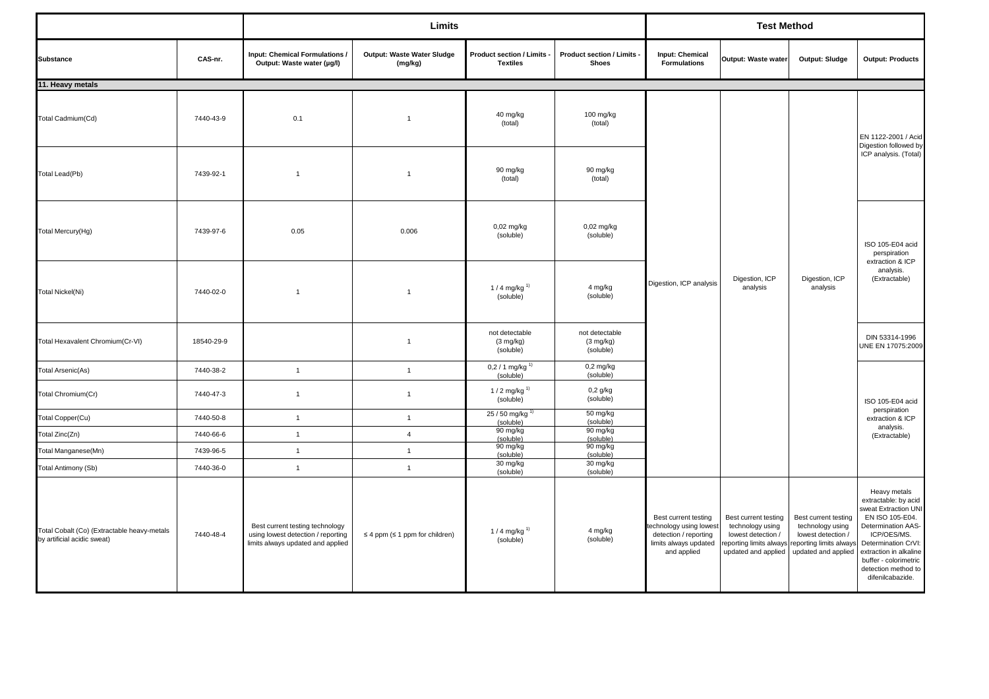|                                                                            |            |                                                                                                            | Limits                                       |                                                    |                                                    |                                                                                                                 | <b>Test Method</b><br>Output: Waste water<br>Output: Sludge<br><b>Formulations</b>                               |                                                                                                                 |                                                                                                                                                                                                                                           |  |
|----------------------------------------------------------------------------|------------|------------------------------------------------------------------------------------------------------------|----------------------------------------------|----------------------------------------------------|----------------------------------------------------|-----------------------------------------------------------------------------------------------------------------|------------------------------------------------------------------------------------------------------------------|-----------------------------------------------------------------------------------------------------------------|-------------------------------------------------------------------------------------------------------------------------------------------------------------------------------------------------------------------------------------------|--|
| <b>Substance</b>                                                           | CAS-nr.    | <b>Input: Chemical Formulations /</b><br>Output: Waste water (µg/l)                                        | <b>Output: Waste Water Sludge</b><br>(mg/kg) | Product section / Limits<br><b>Textiles</b>        | Product section / Limits<br><b>Shoes</b>           | <b>Input: Chemical</b>                                                                                          |                                                                                                                  |                                                                                                                 | <b>Output: Products</b>                                                                                                                                                                                                                   |  |
| 11. Heavy metals                                                           |            |                                                                                                            |                                              |                                                    |                                                    |                                                                                                                 |                                                                                                                  |                                                                                                                 |                                                                                                                                                                                                                                           |  |
| Total Cadmium(Cd)                                                          | 7440-43-9  | 0.1                                                                                                        | $\mathbf{1}$                                 | 40 mg/kg<br>(total)                                | 100 mg/kg<br>(total)                               |                                                                                                                 |                                                                                                                  |                                                                                                                 | EN 1122-2001 / Acid<br>Digestion followed by                                                                                                                                                                                              |  |
| Total Lead(Pb)                                                             | 7439-92-1  | $\overline{1}$                                                                                             | $\mathbf{1}$                                 | 90 mg/kg<br>(total)                                | 90 mg/kg<br>(total)                                |                                                                                                                 |                                                                                                                  |                                                                                                                 | ICP analysis. (Total)                                                                                                                                                                                                                     |  |
| Total Mercury(Hg)                                                          | 7439-97-6  | 0.05                                                                                                       | 0.006                                        | 0,02 mg/kg<br>(soluble)                            | $0,02$ mg/kg<br>(soluble)                          |                                                                                                                 |                                                                                                                  |                                                                                                                 | ISO 105-E04 acid<br>perspiration                                                                                                                                                                                                          |  |
| <b>Total Nickel(Ni)</b>                                                    | 7440-02-0  | $\overline{1}$                                                                                             | $\mathbf{1}$                                 | 1 / 4 mg/kg <sup>1)</sup><br>(soluble)             | 4 mg/kg<br>(soluble)                               | Digestion, ICP analysis                                                                                         | Digestion, ICP<br>analysis                                                                                       | Digestion, ICP<br>analysis                                                                                      | extraction & ICP<br>analysis.<br>(Extractable)                                                                                                                                                                                            |  |
| Total Hexavalent Chromium(Cr-VI)                                           | 18540-29-9 |                                                                                                            | $\mathbf{1}$                                 | not detectable<br>$(3 \text{ mg/kg})$<br>(soluble) | not detectable<br>$(3 \text{ mg/kg})$<br>(soluble) |                                                                                                                 |                                                                                                                  |                                                                                                                 | DIN 53314-1996<br>UNE EN 17075:2009                                                                                                                                                                                                       |  |
| <b>Total Arsenic(As)</b>                                                   | 7440-38-2  | $\overline{1}$                                                                                             | $\overline{1}$                               | 0,2 / 1 mg/kg $^{1}$<br>(soluble)                  | $0,2$ mg/kg<br>(soluble)                           |                                                                                                                 |                                                                                                                  |                                                                                                                 | ISO 105-E04 acid                                                                                                                                                                                                                          |  |
| Total Chromium(Cr)                                                         | 7440-47-3  | $\mathbf{1}$                                                                                               | $\overline{1}$                               | 1 / 2 mg/kg <sup>1)</sup><br>(soluble)             | $0,2$ g/kg<br>(soluble)                            |                                                                                                                 |                                                                                                                  |                                                                                                                 |                                                                                                                                                                                                                                           |  |
| Total Copper(Cu)                                                           | 7440-50-8  | $\mathbf{1}$                                                                                               | $\overline{1}$                               | 25 / 50 mg/kg $^{1}$<br>(soluble)                  | 50 mg/kg<br>(soluble)                              |                                                                                                                 |                                                                                                                  |                                                                                                                 | perspiration<br>extraction & ICP                                                                                                                                                                                                          |  |
| Total Zinc(Zn)                                                             | 7440-66-6  | $\mathbf{1}$                                                                                               | $\overline{4}$                               | 90 mg/kg<br>(soluble)                              | 90 mg/kg<br>(soluble)                              |                                                                                                                 |                                                                                                                  |                                                                                                                 | analysis.<br>(Extractable)                                                                                                                                                                                                                |  |
| Total Manganese(Mn)                                                        | 7439-96-5  | $\mathbf{1}$                                                                                               | $\overline{1}$                               | 90 mg/kg                                           | 90 mg/kg                                           |                                                                                                                 |                                                                                                                  |                                                                                                                 |                                                                                                                                                                                                                                           |  |
| Total Antimony (Sb)                                                        | 7440-36-0  | $\mathbf{1}$                                                                                               | $\overline{1}$                               | (soluble)<br>30 mg/kg                              | (soluble)<br>30 mg/kg                              |                                                                                                                 |                                                                                                                  |                                                                                                                 |                                                                                                                                                                                                                                           |  |
|                                                                            |            |                                                                                                            |                                              | (soluble)                                          | (soluble)                                          |                                                                                                                 |                                                                                                                  |                                                                                                                 |                                                                                                                                                                                                                                           |  |
| Total Cobalt (Co) (Extractable heavy-metals<br>by artificial acidic sweat) | 7440-48-4  | Best current testing technology<br>using lowest detection / reporting<br>limits always updated and applied | $\leq$ 4 ppm ( $\leq$ 1 ppm for children)    | 1 / 4 mg/kg <sup>1)</sup><br>(soluble)             | 4 mg/kg<br>(soluble)                               | Best current testing<br>echnology using lowest<br>detection / reporting<br>limits always updated<br>and applied | Best current testing<br>technology using<br>lowest detection /<br>reporting limits always<br>updated and applied | Best current testing<br>technology using<br>lowest detection /<br>eporting limits always<br>updated and applied | Heavy metals<br>extractable: by acid<br>sweat Extraction UNI<br>EN ISO 105-E04.<br>Determination AAS-<br>ICP/OES/MS.<br>Determination CrVI:<br>extraction in alkaline<br>buffer - colorimetric<br>detection method to<br>difenilcabazide. |  |